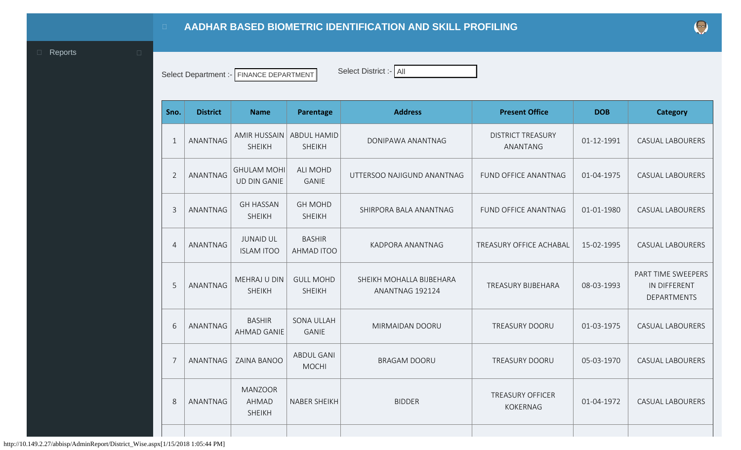Select Department :- FINANCE DEPARTMENT Select District :- All

<span id="page-0-0"></span>

| Sno.           | <b>District</b> | <b>Name</b>                                     | Parentage                           | <b>Address</b>                              | <b>Present Office</b>                      | <b>DOB</b> | <b>Category</b>                                          |
|----------------|-----------------|-------------------------------------------------|-------------------------------------|---------------------------------------------|--------------------------------------------|------------|----------------------------------------------------------|
| $\mathbf{1}$   | ANANTNAG        | <b>AMIR HUSSAIN</b><br><b>SHEIKH</b>            | <b>ABDUL HAMID</b><br><b>SHEIKH</b> | DONIPAWA ANANTNAG                           | <b>DISTRICT TREASURY</b><br>ANANTANG       | 01-12-1991 | <b>CASUAL LABOURERS</b>                                  |
| $\overline{2}$ | <b>ANANTNAG</b> | <b>GHULAM MOHI</b><br><b>UD DIN GANIE</b>       | <b>ALI MOHD</b><br><b>GANIE</b>     | UTTERSOO NAJIGUND ANANTNAG                  | FUND OFFICE ANANTNAG                       | 01-04-1975 | <b>CASUAL LABOURERS</b>                                  |
| $\overline{3}$ | ANANTNAG        | <b>GH HASSAN</b><br><b>SHEIKH</b>               | <b>GH MOHD</b><br><b>SHEIKH</b>     | SHIRPORA BALA ANANTNAG                      | <b>FUND OFFICE ANANTNAG</b>                | 01-01-1980 | <b>CASUAL LABOURERS</b>                                  |
| $\overline{4}$ | ANANTNAG        | <b>JUNAID UL</b><br><b>ISLAM ITOO</b>           | <b>BASHIR</b><br>AHMAD ITOO         | <b>KADPORA ANANTNAG</b>                     | TREASURY OFFICE ACHABAL                    | 15-02-1995 | <b>CASUAL LABOURERS</b>                                  |
| 5              | ANANTNAG        | <b>MEHRAJ U DIN</b><br><b>SHEIKH</b>            | <b>GULL MOHD</b><br><b>SHEIKH</b>   | SHEIKH MOHALLA BIJBEHARA<br>ANANTNAG 192124 | <b>TREASURY BIJBEHARA</b>                  | 08-03-1993 | PART TIME SWEEPERS<br>IN DIFFERENT<br><b>DEPARTMENTS</b> |
| 6              | ANANTNAG        | <b>BASHIR</b><br>AHMAD GANIE                    | <b>SONA ULLAH</b><br><b>GANIE</b>   | MIRMAIDAN DOORU                             | <b>TREASURY DOORU</b>                      | 01-03-1975 | <b>CASUAL LABOURERS</b>                                  |
| 7              | ANANTNAG        | <b>ZAINA BANOO</b>                              | <b>ABDUL GANI</b><br><b>MOCHI</b>   | <b>BRAGAM DOORU</b>                         | TREASURY DOORU                             | 05-03-1970 | <b>CASUAL LABOURERS</b>                                  |
| 8              | ANANTNAG        | <b>MANZOOR</b><br><b>AHMAD</b><br><b>SHEIKH</b> | <b>NABER SHEIKH</b>                 | <b>BIDDER</b>                               | <b>TREASURY OFFICER</b><br><b>KOKERNAG</b> | 01-04-1972 | <b>CASUAL LABOURERS</b>                                  |
|                |                 |                                                 |                                     |                                             |                                            |            |                                                          |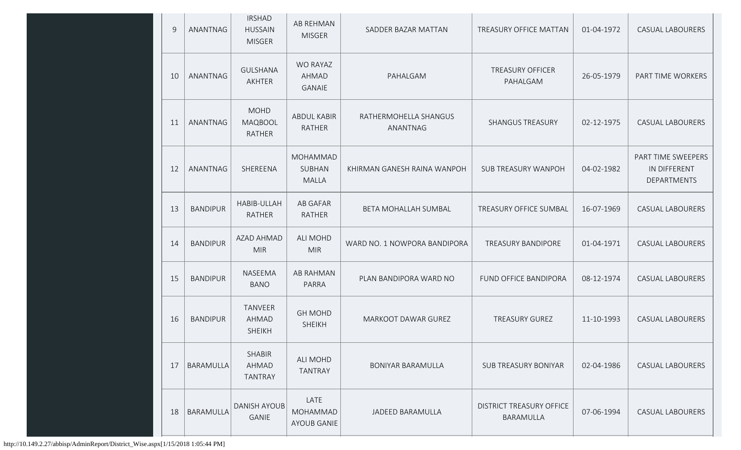| 9  | ANANTNAG        | <b>IRSHAD</b><br><b>HUSSAIN</b><br><b>MISGER</b> | <b>AB REHMAN</b><br><b>MISGER</b>      | SADDER BAZAR MATTAN               | TREASURY OFFICE MATTAN                       | 01-04-1972 | <b>CASUAL LABOURERS</b>                           |
|----|-----------------|--------------------------------------------------|----------------------------------------|-----------------------------------|----------------------------------------------|------------|---------------------------------------------------|
| 10 | ANANTNAG        | <b>GULSHANA</b><br>AKHTER                        | <b>WO RAYAZ</b><br>AHMAD<br>GANAIE     | PAHALGAM                          | <b>TREASURY OFFICER</b><br>PAHALGAM          | 26-05-1979 | PART TIME WORKERS                                 |
| 11 | ANANTNAG        | <b>MOHD</b><br><b>MAQBOOL</b><br>RATHER          | <b>ABDUL KABIR</b><br><b>RATHER</b>    | RATHERMOHELLA SHANGUS<br>ANANTNAG | <b>SHANGUS TREASURY</b>                      | 02-12-1975 | <b>CASUAL LABOURERS</b>                           |
| 12 | <b>ANANTNAG</b> | SHEREENA                                         | MOHAMMAD<br>SUBHAN<br><b>MALLA</b>     | KHIRMAN GANESH RAINA WANPOH       | <b>SUB TREASURY WANPOH</b>                   | 04-02-1982 | PART TIME SWEEPERS<br>IN DIFFERENT<br>DEPARTMENTS |
| 13 | <b>BANDIPUR</b> | HABIB-ULLAH<br><b>RATHER</b>                     | <b>AB GAFAR</b><br>RATHER              | BETA MOHALLAH SUMBAL              | TREASURY OFFICE SUMBAL                       | 16-07-1969 | <b>CASUAL LABOURERS</b>                           |
| 14 | <b>BANDIPUR</b> | AZAD AHMAD<br><b>MIR</b>                         | ALI MOHD<br><b>MIR</b>                 | WARD NO. 1 NOWPORA BANDIPORA      | <b>TREASURY BANDIPORE</b>                    | 01-04-1971 | <b>CASUAL LABOURERS</b>                           |
| 15 | <b>BANDIPUR</b> | <b>NASEEMA</b><br><b>BANO</b>                    | <b>AB RAHMAN</b><br>PARRA              | PLAN BANDIPORA WARD NO            | <b>FUND OFFICE BANDIPORA</b>                 | 08-12-1974 | <b>CASUAL LABOURERS</b>                           |
| 16 | <b>BANDIPUR</b> | <b>TANVEER</b><br>AHMAD<br><b>SHEIKH</b>         | <b>GH MOHD</b><br><b>SHEIKH</b>        | <b>MARKOOT DAWAR GUREZ</b>        | <b>TREASURY GUREZ</b>                        | 11-10-1993 | <b>CASUAL LABOURERS</b>                           |
| 17 | BARAMULLA       | <b>SHABIR</b><br>AHMAD<br><b>TANTRAY</b>         | ALI MOHD<br><b>TANTRAY</b>             | <b>BONIYAR BARAMULLA</b>          | <b>SUB TREASURY BONIYAR</b>                  | 02-04-1986 | <b>CASUAL LABOURERS</b>                           |
| 18 | BARAMULLA       | <b>DANISH AYOUB</b><br><b>GANIE</b>              | LATE<br>MOHAMMAD<br><b>AYOUB GANIE</b> | JADEED BARAMULLA                  | <b>DISTRICT TREASURY OFFICE</b><br>BARAMULLA | 07-06-1994 | <b>CASUAL LABOURERS</b>                           |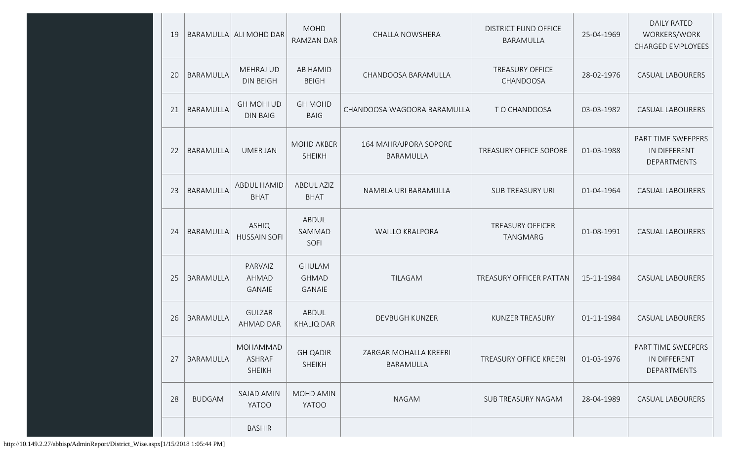| 19 |                  | BARAMULLA ALI MOHD DAR                     | <b>MOHD</b><br><b>RAMZAN DAR</b>               | CHALLA NOWSHERA                    | <b>DISTRICT FUND OFFICE</b><br>BARAMULLA   | 25-04-1969 | <b>DAILY RATED</b><br>WORKERS/WORK<br><b>CHARGED EMPLOYEES</b> |
|----|------------------|--------------------------------------------|------------------------------------------------|------------------------------------|--------------------------------------------|------------|----------------------------------------------------------------|
| 20 | <b>BARAMULLA</b> | <b>MEHRAJ UD</b><br><b>DIN BEIGH</b>       | AB HAMID<br><b>BEIGH</b>                       | CHANDOOSA BARAMULLA                | <b>TREASURY OFFICE</b><br>CHANDOOSA        | 28-02-1976 | <b>CASUAL LABOURERS</b>                                        |
| 21 | BARAMULLA        | <b>GH MOHI UD</b><br><b>DIN BAIG</b>       | <b>GH MOHD</b><br><b>BAIG</b>                  | CHANDOOSA WAGOORA BARAMULLA        | TO CHANDOOSA                               | 03-03-1982 | <b>CASUAL LABOURERS</b>                                        |
| 22 | <b>BARAMULLA</b> | <b>UMER JAN</b>                            | <b>MOHD AKBER</b><br><b>SHEIKH</b>             | 164 MAHRAJPORA SOPORE<br>BARAMULLA | TREASURY OFFICE SOPORE                     | 01-03-1988 | PART TIME SWEEPERS<br>IN DIFFERENT<br><b>DEPARTMENTS</b>       |
| 23 | <b>BARAMULLA</b> | <b>ABDUL HAMID</b><br><b>BHAT</b>          | <b>ABDUL AZIZ</b><br><b>BHAT</b>               | NAMBLA URI BARAMULLA               | <b>SUB TREASURY URI</b>                    | 01-04-1964 | <b>CASUAL LABOURERS</b>                                        |
| 24 | <b>BARAMULLA</b> | <b>ASHIQ</b><br><b>HUSSAIN SOFI</b>        | ABDUL<br>SAMMAD<br>SOFI                        | <b>WAILLO KRALPORA</b>             | <b>TREASURY OFFICER</b><br><b>TANGMARG</b> | 01-08-1991 | <b>CASUAL LABOURERS</b>                                        |
| 25 | <b>BARAMULLA</b> | PARVAIZ<br><b>AHMAD</b><br>GANAIE          | <b>GHULAM</b><br><b>GHMAD</b><br><b>GANAIE</b> | <b>TILAGAM</b>                     | TREASURY OFFICER PATTAN                    | 15-11-1984 | <b>CASUAL LABOURERS</b>                                        |
| 26 | <b>BARAMULLA</b> | <b>GULZAR</b><br><b>AHMAD DAR</b>          | ABDUL<br><b>KHALIQ DAR</b>                     | <b>DEVBUGH KUNZER</b>              | <b>KUNZER TREASURY</b>                     | 01-11-1984 | <b>CASUAL LABOURERS</b>                                        |
| 27 | BARAMULLA        | MOHAMMAD<br><b>ASHRAF</b><br><b>SHEIKH</b> | <b>GH QADIR</b><br><b>SHEIKH</b>               | ZARGAR MOHALLA KREERI<br>BARAMULLA | <b>TREASURY OFFICE KREERI</b>              | 01-03-1976 | PART TIME SWEEPERS<br>IN DIFFERENT<br><b>DEPARTMENTS</b>       |
| 28 | <b>BUDGAM</b>    | <b>SAJAD AMIN</b><br><b>YATOO</b>          | MOHD AMIN<br>YATOO                             | <b>NAGAM</b>                       | SUB TREASURY NAGAM                         | 28-04-1989 | <b>CASUAL LABOURERS</b>                                        |
|    |                  | <b>BASHIR</b>                              |                                                |                                    |                                            |            |                                                                |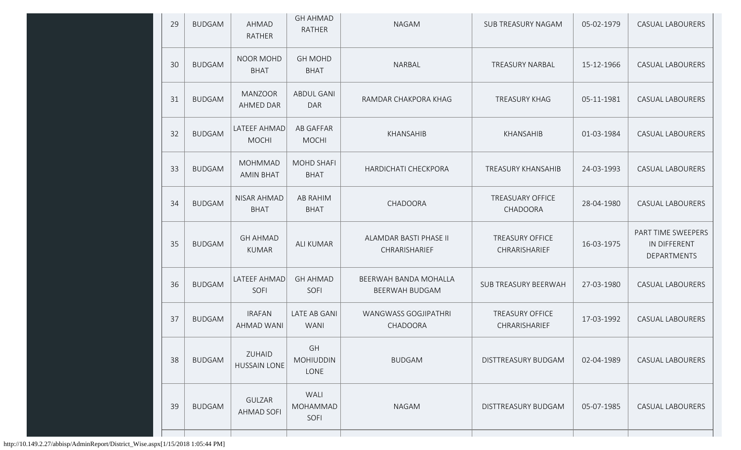| 29 | <b>BUDGAM</b> | AHMAD<br><b>RATHER</b>             | <b>GH AHMAD</b><br><b>RATHER</b> | <b>NAGAM</b>                                   | SUB TREASURY NAGAM                      | 05-02-1979 | <b>CASUAL LABOURERS</b>                           |
|----|---------------|------------------------------------|----------------------------------|------------------------------------------------|-----------------------------------------|------------|---------------------------------------------------|
| 30 | <b>BUDGAM</b> | <b>NOOR MOHD</b><br><b>BHAT</b>    | <b>GH MOHD</b><br><b>BHAT</b>    | NARBAL                                         | <b>TREASURY NARBAL</b>                  | 15-12-1966 | <b>CASUAL LABOURERS</b>                           |
| 31 | <b>BUDGAM</b> | <b>MANZOOR</b><br>AHMED DAR        | <b>ABDUL GANI</b><br><b>DAR</b>  | RAMDAR CHAKPORA KHAG                           | <b>TREASURY KHAG</b>                    | 05-11-1981 | <b>CASUAL LABOURERS</b>                           |
| 32 | <b>BUDGAM</b> | LATEEF AHMAD<br><b>MOCHI</b>       | AB GAFFAR<br><b>MOCHI</b>        | KHANSAHIB                                      | KHANSAHIB                               | 01-03-1984 | <b>CASUAL LABOURERS</b>                           |
| 33 | <b>BUDGAM</b> | <b>MOHMMAD</b><br><b>AMIN BHAT</b> | <b>MOHD SHAFI</b><br><b>BHAT</b> | <b>HARDICHATI CHECKPORA</b>                    | TREASURY KHANSAHIB                      | 24-03-1993 | <b>CASUAL LABOURERS</b>                           |
| 34 | <b>BUDGAM</b> | NISAR AHMAD<br><b>BHAT</b>         | AB RAHIM<br><b>BHAT</b>          | CHADOORA                                       | <b>TREASUARY OFFICE</b><br>CHADOORA     | 28-04-1980 | <b>CASUAL LABOURERS</b>                           |
| 35 | <b>BUDGAM</b> | <b>GH AHMAD</b><br><b>KUMAR</b>    | <b>ALI KUMAR</b>                 | ALAMDAR BASTI PHASE II<br>CHRARISHARIEF        | <b>TREASURY OFFICE</b><br>CHRARISHARIEF | 16-03-1975 | PART TIME SWEEPERS<br>IN DIFFERENT<br>DEPARTMENTS |
|    |               |                                    |                                  |                                                |                                         |            |                                                   |
| 36 | <b>BUDGAM</b> | LATEEF AHMAD<br>SOFI               | <b>GH AHMAD</b><br>SOFI          | BEERWAH BANDA MOHALLA<br><b>BEERWAH BUDGAM</b> | SUB TREASURY BEERWAH                    | 27-03-1980 | <b>CASUAL LABOURERS</b>                           |
| 37 | <b>BUDGAM</b> | <b>IRAFAN</b><br><b>AHMAD WANI</b> | LATE AB GANI<br><b>WANI</b>      | <b>WANGWASS GOGJIPATHRI</b><br>CHADOORA        | <b>TREASURY OFFICE</b><br>CHRARISHARIEF | 17-03-1992 | <b>CASUAL LABOURERS</b>                           |
| 38 | <b>BUDGAM</b> | ZUHAID<br><b>HUSSAIN LONE</b>      | GH<br><b>MOHIUDDIN</b><br>LONE   | <b>BUDGAM</b>                                  | DISTTREASURY BUDGAM                     | 02-04-1989 | CASUAL LABOURERS                                  |
| 39 | <b>BUDGAM</b> | GULZAR<br><b>AHMAD SOFI</b>        | WALI<br><b>MOHAMMAD</b><br>SOFI  | <b>NAGAM</b>                                   | DISTTREASURY BUDGAM                     | 05-07-1985 | <b>CASUAL LABOURERS</b>                           |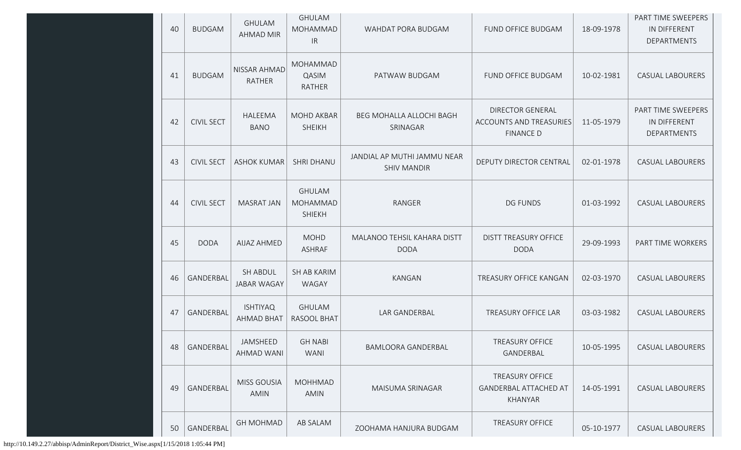| 40 | <b>BUDGAM</b>     | <b>GHULAM</b><br><b>AHMAD MIR</b>     | <b>GHULAM</b><br>MOHAMMAD<br>IR            | WAHDAT PORA BUDGAM                                | FUND OFFICE BUDGAM                                                            | 18-09-1978 | PART TIME SWEEPERS<br>IN DIFFERENT<br>DEPARTMENTS |
|----|-------------------|---------------------------------------|--------------------------------------------|---------------------------------------------------|-------------------------------------------------------------------------------|------------|---------------------------------------------------|
| 41 | <b>BUDGAM</b>     | NISSAR AHMAD<br>RATHER                | <b>MOHAMMAD</b><br>QASIM<br><b>RATHER</b>  | PATWAW BUDGAM                                     | FUND OFFICE BUDGAM                                                            | 10-02-1981 | <b>CASUAL LABOURERS</b>                           |
| 42 | <b>CIVIL SECT</b> | HALEEMA<br><b>BANO</b>                | MOHD AKBAR<br><b>SHEIKH</b>                | BEG MOHALLA ALLOCHI BAGH<br>SRINAGAR              | <b>DIRECTOR GENERAL</b><br><b>ACCOUNTS AND TREASURIES</b><br><b>FINANCE D</b> | 11-05-1979 | PART TIME SWEEPERS<br>IN DIFFERENT<br>DEPARTMENTS |
| 43 | <b>CIVIL SECT</b> | <b>ASHOK KUMAR</b>                    | <b>SHRI DHANU</b>                          | JANDIAL AP MUTHI JAMMU NEAR<br><b>SHIV MANDIR</b> | DEPUTY DIRECTOR CENTRAL                                                       | 02-01-1978 | <b>CASUAL LABOURERS</b>                           |
| 44 | <b>CIVIL SECT</b> | <b>MASRAT JAN</b>                     | <b>GHULAM</b><br>MOHAMMAD<br><b>SHIEKH</b> | RANGER                                            | <b>DG FUNDS</b>                                                               | 01-03-1992 | <b>CASUAL LABOURERS</b>                           |
| 45 | <b>DODA</b>       | <b>AIJAZ AHMED</b>                    | <b>MOHD</b><br><b>ASHRAF</b>               | MALANOO TEHSIL KAHARA DISTT<br><b>DODA</b>        | <b>DISTT TREASURY OFFICE</b><br><b>DODA</b>                                   | 29-09-1993 | PART TIME WORKERS                                 |
| 46 | GANDERBAL         | <b>SH ABDUL</b><br><b>JABAR WAGAY</b> | SH AB KARIM<br><b>WAGAY</b>                | <b>KANGAN</b>                                     | TREASURY OFFICE KANGAN                                                        | 02-03-1970 | <b>CASUAL LABOURERS</b>                           |
| 47 | GANDERBAL         | <b>ISHTIYAQ</b><br><b>AHMAD BHAT</b>  | <b>GHULAM</b><br>RASOOL BHAT               | LAR GANDERBAL                                     | <b>TREASURY OFFICE LAR</b>                                                    | 03-03-1982 | <b>CASUAL LABOURERS</b>                           |
| 48 | GANDERBAL         | JAMSHEED<br>AHMAD WANI                | <b>GH NABI</b><br><b>WANI</b>              | <b>BAMLOORA GANDERBAL</b>                         | TREASURY OFFICE<br>GANDERBAL                                                  | 10-05-1995 | <b>CASUAL LABOURERS</b>                           |
| 49 | GANDERBAL         | MISS GOUSIA<br>AMIN                   | <b>MOHHMAD</b><br>AMIN                     | MAISUMA SRINAGAR                                  | <b>TREASURY OFFICE</b><br><b>GANDERBAL ATTACHED AT</b><br>KHANYAR             | 14-05-1991 | <b>CASUAL LABOURERS</b>                           |
| 50 | GANDERBAL         | <b>GH MOHMAD</b>                      | AB SALAM                                   | ZOOHAMA HANJURA BUDGAM                            | <b>TREASURY OFFICE</b>                                                        | 05-10-1977 | CASUAL LABOURERS                                  |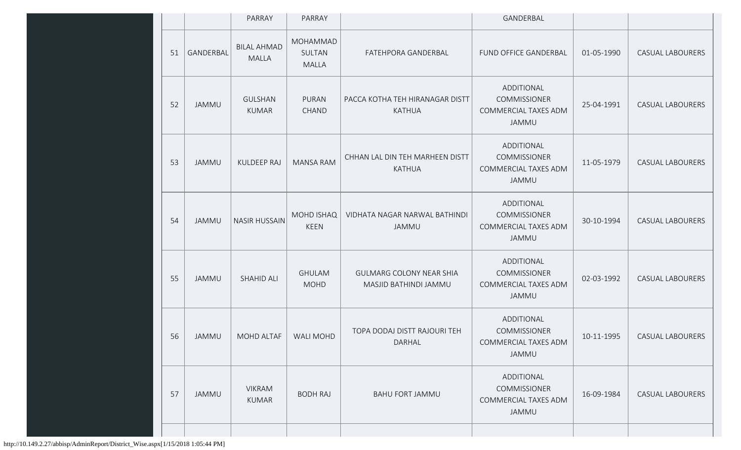|    |              | PARRAY                             | PARRAY                             |                                                          | GANDERBAL                                                          |            |                         |
|----|--------------|------------------------------------|------------------------------------|----------------------------------------------------------|--------------------------------------------------------------------|------------|-------------------------|
| 51 | GANDERBAL    | <b>BILAL AHMAD</b><br><b>MALLA</b> | MOHAMMAD<br>SULTAN<br><b>MALLA</b> | FATEHPORA GANDERBAL                                      | FUND OFFICE GANDERBAL                                              | 01-05-1990 | CASUAL LABOURERS        |
| 52 | JAMMU        | <b>GULSHAN</b><br>KUMAR            | PURAN<br>CHAND                     | PACCA KOTHA TEH HIRANAGAR DISTT<br><b>KATHUA</b>         | ADDITIONAL<br><b>COMMISSIONER</b><br>COMMERCIAL TAXES ADM<br>JAMMU | 25-04-1991 | <b>CASUAL LABOURERS</b> |
| 53 | JAMMU        | <b>KULDEEP RAJ</b>                 | <b>MANSA RAM</b>                   | CHHAN LAL DIN TEH MARHEEN DISTT<br><b>KATHUA</b>         | ADDITIONAL<br><b>COMMISSIONER</b><br>COMMERCIAL TAXES ADM<br>JAMMU | 11-05-1979 | <b>CASUAL LABOURERS</b> |
| 54 | JAMMU        | <b>NASIR HUSSAIN</b>               | <b>MOHD ISHAQ</b><br><b>KEEN</b>   | VIDHATA NAGAR NARWAL BATHINDI<br><b>JAMMU</b>            | ADDITIONAL<br>COMMISSIONER<br>COMMERCIAL TAXES ADM<br>JAMMU        | 30-10-1994 | <b>CASUAL LABOURERS</b> |
| 55 | JAMMU        | <b>SHAHID ALI</b>                  | <b>GHULAM</b><br><b>MOHD</b>       | <b>GULMARG COLONY NEAR SHIA</b><br>MASJID BATHINDI JAMMU | ADDITIONAL<br>COMMISSIONER<br>COMMERCIAL TAXES ADM<br>JAMMU        | 02-03-1992 | <b>CASUAL LABOURERS</b> |
| 56 | <b>JAMMU</b> | MOHD ALTAF                         | <b>WALI MOHD</b>                   | TOPA DODAJ DISTT RAJOURI TEH<br>DARHAL                   | ADDITIONAL<br>COMMISSIONER<br>COMMERCIAL TAXES ADM<br>JAMMU        | 10-11-1995 | <b>CASUAL LABOURERS</b> |
| 57 | JAMMU        | <b>VIKRAM</b><br><b>KUMAR</b>      | <b>BODH RAJ</b>                    | <b>BAHU FORT JAMMU</b>                                   | ADDITIONAL<br>COMMISSIONER<br>COMMERCIAL TAXES ADM<br>JAMMU        | 16-09-1984 | <b>CASUAL LABOURERS</b> |
|    |              |                                    |                                    |                                                          |                                                                    |            |                         |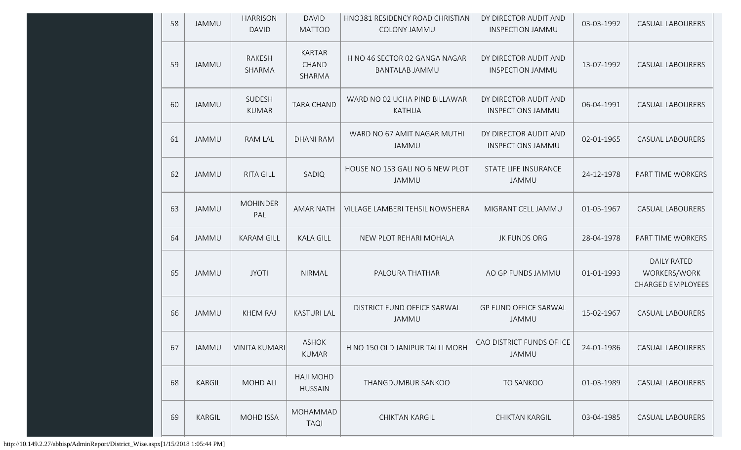| 58 | JAMMU        | <b>HARRISON</b><br><b>DAVID</b> | <b>DAVID</b><br><b>MATTOO</b>      | HNO381 RESIDENCY ROAD CHRISTIAN<br>COLONY JAMMU | DY DIRECTOR AUDIT AND<br><b>INSPECTION JAMMU</b>  | 03-03-1992 | <b>CASUAL LABOURERS</b>                                        |
|----|--------------|---------------------------------|------------------------------------|-------------------------------------------------|---------------------------------------------------|------------|----------------------------------------------------------------|
| 59 | JAMMU        | RAKESH<br>SHARMA                | KARTAR<br>CHAND<br>SHARMA          | H NO 46 SECTOR 02 GANGA NAGAR<br>BANTALAB JAMMU | DY DIRECTOR AUDIT AND<br><b>INSPECTION JAMMU</b>  | 13-07-1992 | <b>CASUAL LABOURERS</b>                                        |
| 60 | JAMMU        | SUDESH<br><b>KUMAR</b>          | <b>TARA CHAND</b>                  | WARD NO 02 UCHA PIND BILLAWAR<br><b>KATHUA</b>  | DY DIRECTOR AUDIT AND<br><b>INSPECTIONS JAMMU</b> | 06-04-1991 | <b>CASUAL LABOURERS</b>                                        |
| 61 | <b>JAMMU</b> | RAM LAL                         | <b>DHANI RAM</b>                   | WARD NO 67 AMIT NAGAR MUTHI<br>JAMMU            | DY DIRECTOR AUDIT AND<br><b>INSPECTIONS JAMMU</b> | 02-01-1965 | <b>CASUAL LABOURERS</b>                                        |
| 62 | <b>JAMMU</b> | <b>RITA GILL</b>                | SADIQ                              | HOUSE NO 153 GALI NO 6 NEW PLOT<br>JAMMU        | STATE LIFE INSURANCE<br>JAMMU                     | 24-12-1978 | PART TIME WORKERS                                              |
| 63 | <b>JAMMU</b> | <b>MOHINDER</b><br>PAL          | <b>AMAR NATH</b>                   | VILLAGE LAMBERI TEHSIL NOWSHERA                 | MIGRANT CELL JAMMU                                | 01-05-1967 | <b>CASUAL LABOURERS</b>                                        |
| 64 | JAMMU        | <b>KARAM GILL</b>               | <b>KALA GILL</b>                   | NEW PLOT REHARI MOHALA                          | JK FUNDS ORG                                      | 28-04-1978 | PART TIME WORKERS                                              |
| 65 | <b>JAMMU</b> | <b>JYOTI</b>                    | <b>NIRMAL</b>                      | PALOURA THATHAR                                 | AO GP FUNDS JAMMU                                 | 01-01-1993 | <b>DAILY RATED</b><br>WORKERS/WORK<br><b>CHARGED EMPLOYEES</b> |
| 66 | JAMMU        | <b>KHEM RAJ</b>                 | <b>KASTURI LAL</b>                 | DISTRICT FUND OFFICE SARWAL<br>JAMMU            | GP FUND OFFICE SARWAL<br>JAMMU                    | 15-02-1967 | <b>CASUAL LABOURERS</b>                                        |
| 67 | <b>JAMMU</b> | <b>VINITA KUMARI</b>            | <b>ASHOK</b><br><b>KUMAR</b>       | H NO 150 OLD JANIPUR TALLI MORH                 | CAO DISTRICT FUNDS OFIICE<br>JAMMU                | 24-01-1986 | CASUAL LABOURERS                                               |
| 68 | KARGIL       | <b>MOHD ALI</b>                 | <b>HAJI MOHD</b><br><b>HUSSAIN</b> | THANGDUMBUR SANKOO                              | TO SANKOO                                         | 01-03-1989 | CASUAL LABOURERS                                               |
| 69 | KARGIL       | <b>MOHD ISSA</b>                | MOHAMMAD<br><b>TAQI</b>            | <b>CHIKTAN KARGIL</b>                           | CHIKTAN KARGIL                                    | 03-04-1985 | CASUAL LABOURERS                                               |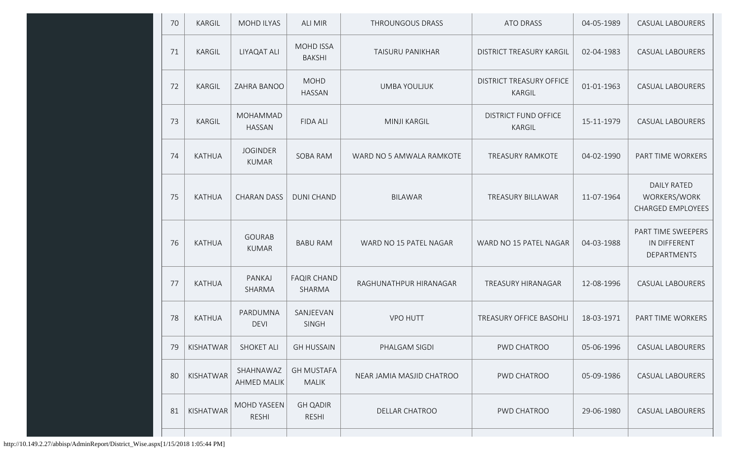| 70 | <b>KARGIL</b> | <b>MOHD ILYAS</b>               | <b>ALI MIR</b>                    | THROUNGOUS DRASS          | ATO DRASS                                 | 04-05-1989 | <b>CASUAL LABOURERS</b>                                        |
|----|---------------|---------------------------------|-----------------------------------|---------------------------|-------------------------------------------|------------|----------------------------------------------------------------|
| 71 | <b>KARGIL</b> | LIYAQAT ALI                     | <b>MOHD ISSA</b><br><b>BAKSHI</b> | <b>TAISURU PANIKHAR</b>   | <b>DISTRICT TREASURY KARGIL</b>           | 02-04-1983 | <b>CASUAL LABOURERS</b>                                        |
| 72 | <b>KARGIL</b> | ZAHRA BANOO                     | <b>MOHD</b><br><b>HASSAN</b>      | <b>UMBA YOULJUK</b>       | <b>DISTRICT TREASURY OFFICE</b><br>KARGIL | 01-01-1963 | <b>CASUAL LABOURERS</b>                                        |
| 73 | <b>KARGIL</b> | MOHAMMAD<br><b>HASSAN</b>       | <b>FIDA ALI</b>                   | <b>MINJI KARGIL</b>       | <b>DISTRICT FUND OFFICE</b><br>KARGIL     | 15-11-1979 | <b>CASUAL LABOURERS</b>                                        |
| 74 | <b>KATHUA</b> | <b>JOGINDER</b><br><b>KUMAR</b> | SOBA RAM                          | WARD NO 5 AMWALA RAMKOTE  | <b>TREASURY RAMKOTE</b>                   | 04-02-1990 | PART TIME WORKERS                                              |
| 75 | <b>KATHUA</b> | <b>CHARAN DASS</b>              | <b>DUNI CHAND</b>                 | <b>BILAWAR</b>            | TREASURY BILLAWAR                         | 11-07-1964 | <b>DAILY RATED</b><br>WORKERS/WORK<br><b>CHARGED EMPLOYEES</b> |
| 76 | <b>KATHUA</b> | <b>GOURAB</b><br><b>KUMAR</b>   | <b>BABU RAM</b>                   | WARD NO 15 PATEL NAGAR    | WARD NO 15 PATEL NAGAR                    | 04-03-1988 | PART TIME SWEEPERS<br>IN DIFFERENT<br><b>DEPARTMENTS</b>       |
| 77 | <b>KATHUA</b> | PANKAJ<br>SHARMA                | <b>FAQIR CHAND</b><br>SHARMA      | RAGHUNATHPUR HIRANAGAR    | TREASURY HIRANAGAR                        | 12-08-1996 | <b>CASUAL LABOURERS</b>                                        |
| 78 | <b>KATHUA</b> | PARDUMNA<br><b>DEVI</b>         | SANJEEVAN<br><b>SINGH</b>         | <b>VPO HUTT</b>           | TREASURY OFFICE BASOHLI                   | 18-03-1971 | PART TIME WORKERS                                              |
| 79 | KISHATWAR     | <b>SHOKET ALI</b>               | <b>GH HUSSAIN</b>                 | PHALGAM SIGDI             | PWD CHATROO                               | 05-06-1996 | <b>CASUAL LABOURERS</b>                                        |
| 80 | KISHATWAR     | SHAHNAWAZ<br><b>AHMED MALIK</b> | <b>GH MUSTAFA</b><br><b>MALIK</b> | NEAR JAMIA MASJID CHATROO | PWD CHATROO                               | 05-09-1986 | <b>CASUAL LABOURERS</b>                                        |
| 81 | KISHATWAR     | MOHD YASEEN<br><b>RESHI</b>     | <b>GH QADIR</b><br>RESHI          | DELLAR CHATROO            | PWD CHATROO                               | 29-06-1980 | <b>CASUAL LABOURERS</b>                                        |
|    |               |                                 |                                   |                           |                                           |            |                                                                |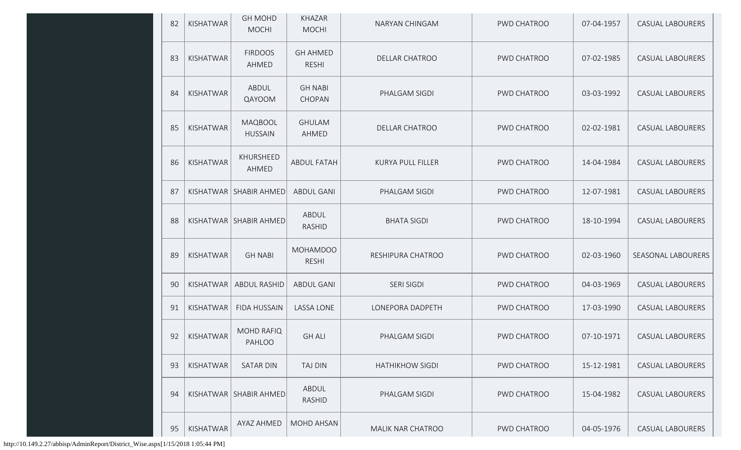| 82 | KISHATWAR        | <b>GH MOHD</b><br><b>MOCHI</b> | <b>KHAZAR</b><br><b>MOCHI</b>   | NARYAN CHINGAM           | PWD CHATROO | 07-04-1957 | <b>CASUAL LABOURERS</b> |
|----|------------------|--------------------------------|---------------------------------|--------------------------|-------------|------------|-------------------------|
| 83 | KISHATWAR        | <b>FIRDOOS</b><br>AHMED        | <b>GH AHMED</b><br><b>RESHI</b> | <b>DELLAR CHATROO</b>    | PWD CHATROO | 07-02-1985 | <b>CASUAL LABOURERS</b> |
| 84 | <b>KISHATWAR</b> | ABDUL<br>QAYOOM                | <b>GH NABI</b><br>CHOPAN        | PHALGAM SIGDI            | PWD CHATROO | 03-03-1992 | <b>CASUAL LABOURERS</b> |
| 85 | KISHATWAR        | MAQBOOL<br><b>HUSSAIN</b>      | <b>GHULAM</b><br>AHMED          | <b>DELLAR CHATROO</b>    | PWD CHATROO | 02-02-1981 | <b>CASUAL LABOURERS</b> |
| 86 | KISHATWAR        | KHURSHEED<br>AHMED             | <b>ABDUL FATAH</b>              | <b>KURYA PULL FILLER</b> | PWD CHATROO | 14-04-1984 | <b>CASUAL LABOURERS</b> |
| 87 |                  | KISHATWAR   SHABIR AHMED       | <b>ABDUL GANI</b>               | PHALGAM SIGDI            | PWD CHATROO | 12-07-1981 | <b>CASUAL LABOURERS</b> |
| 88 |                  | KISHATWAR   SHABIR AHMED       | ABDUL<br><b>RASHID</b>          | <b>BHATA SIGDI</b>       | PWD CHATROO | 18-10-1994 | <b>CASUAL LABOURERS</b> |
| 89 | KISHATWAR        | <b>GH NABI</b>                 | <b>MOHAMDOO</b><br><b>RESHI</b> | RESHIPURA CHATROO        | PWD CHATROO | 02-03-1960 | SEASONAL LABOURERS      |
| 90 | KISHATWAR        | <b>ABDUL RASHID</b>            | <b>ABDUL GANI</b>               | SERI SIGDI               | PWD CHATROO | 04-03-1969 | <b>CASUAL LABOURERS</b> |
| 91 | <b>KISHATWAR</b> | <b>FIDA HUSSAIN</b>            | <b>LASSA LONE</b>               | LONEPORA DADPETH         | PWD CHATROO | 17-03-1990 | <b>CASUAL LABOURERS</b> |
| 92 | KISHATWAR        | <b>MOHD RAFIQ</b><br>PAHLOO    | <b>GH ALI</b>                   | PHALGAM SIGDI            | PWD CHATROO | 07-10-1971 | <b>CASUAL LABOURERS</b> |
| 93 | KISHATWAR        | <b>SATAR DIN</b>               | <b>TAJ DIN</b>                  | <b>HATHIKHOW SIGDI</b>   | PWD CHATROO | 15-12-1981 | <b>CASUAL LABOURERS</b> |
| 94 |                  | KISHATWAR   SHABIR AHMED       | ABDUL<br>RASHID                 | PHALGAM SIGDI            | PWD CHATROO | 15-04-1982 | <b>CASUAL LABOURERS</b> |
| 95 | KISHATWAR        | AYAZ AHMED                     | <b>MOHD AHSAN</b>               | MALIK NAR CHATROO        | PWD CHATROO | 04-05-1976 | CASUAL LABOURERS        |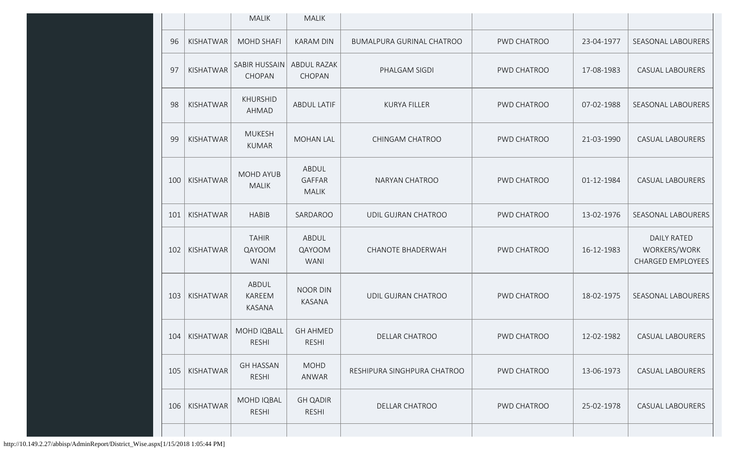|     |                 | <b>MALIK</b>                          | <b>MALIK</b>                           |                             |             |            |                                                                |
|-----|-----------------|---------------------------------------|----------------------------------------|-----------------------------|-------------|------------|----------------------------------------------------------------|
| 96  | KISHATWAR       | <b>MOHD SHAFI</b>                     | <b>KARAM DIN</b>                       | BUMALPURA GURINAL CHATROO   | PWD CHATROO | 23-04-1977 | SEASONAL LABOURERS                                             |
| 97  | KISHATWAR       | <b>SABIR HUSSAIN</b><br>CHOPAN        | <b>ABDUL RAZAK</b><br>CHOPAN           | PHALGAM SIGDI               | PWD CHATROO | 17-08-1983 | <b>CASUAL LABOURERS</b>                                        |
| 98  | KISHATWAR       | <b>KHURSHID</b><br><b>AHMAD</b>       | <b>ABDUL LATIF</b>                     | <b>KURYA FILLER</b>         | PWD CHATROO | 07-02-1988 | SEASONAL LABOURERS                                             |
| 99  | KISHATWAR       | <b>MUKESH</b><br><b>KUMAR</b>         | <b>MOHAN LAL</b>                       | CHINGAM CHATROO             | PWD CHATROO | 21-03-1990 | <b>CASUAL LABOURERS</b>                                        |
| 100 | KISHATWAR       | <b>MOHD AYUB</b><br><b>MALIK</b>      | ABDUL<br><b>GAFFAR</b><br><b>MALIK</b> | NARYAN CHATROO              | PWD CHATROO | 01-12-1984 | <b>CASUAL LABOURERS</b>                                        |
| 101 | KISHATWAR       | <b>HABIB</b>                          | SARDAROO                               | UDIL GUJRAN CHATROO         | PWD CHATROO | 13-02-1976 | SEASONAL LABOURERS                                             |
| 102 | KISHATWAR       | <b>TAHIR</b><br>QAYOOM<br><b>WANI</b> | ABDUL<br>QAYOOM<br><b>WANI</b>         | <b>CHANOTE BHADERWAH</b>    | PWD CHATROO | 16-12-1983 | <b>DAILY RATED</b><br>WORKERS/WORK<br><b>CHARGED EMPLOYEES</b> |
| 103 | KISHATWAR       | ABDUL<br>KAREEM<br>KASANA             | <b>NOOR DIN</b><br><b>KASANA</b>       | UDIL GUJRAN CHATROO         | PWD CHATROO | 18-02-1975 | SEASONAL LABOURERS                                             |
|     | 104   KISHATWAR | <b>MOHD IQBALL</b><br><b>RESHI</b>    | <b>GH AHMED</b><br>RESHI               | <b>DELLAR CHATROO</b>       | PWD CHATROO | 12-02-1982 | <b>CASUAL LABOURERS</b>                                        |
| 105 | KISHATWAR       | <b>GH HASSAN</b><br><b>RESHI</b>      | <b>MOHD</b><br>ANWAR                   | RESHIPURA SINGHPURA CHATROO | PWD CHATROO | 13-06-1973 | <b>CASUAL LABOURERS</b>                                        |
| 106 | KISHATWAR       | MOHD IQBAL<br><b>RESHI</b>            | <b>GH QADIR</b><br><b>RESHI</b>        | <b>DELLAR CHATROO</b>       | PWD CHATROO | 25-02-1978 | <b>CASUAL LABOURERS</b>                                        |
|     |                 |                                       |                                        |                             |             |            |                                                                |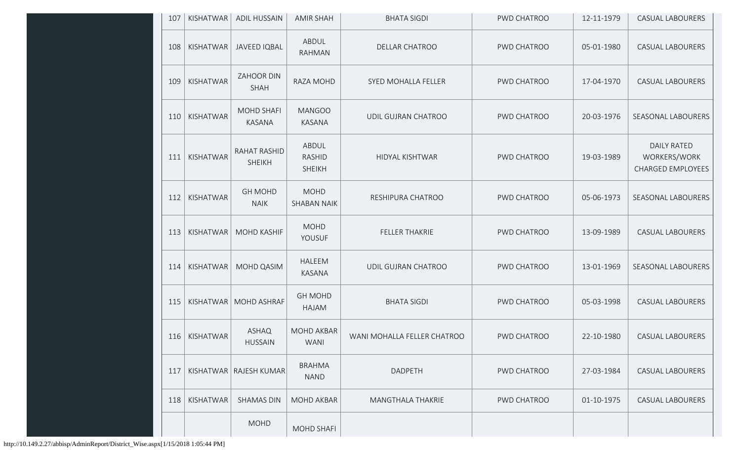| 107 | KISHATWAR | <b>ADIL HUSSAIN</b>            | <b>AMIR SHAH</b>                        | <b>BHATA SIGDI</b>          | PWD CHATROO        | 12-11-1979 | CASUAL LABOURERS                                               |
|-----|-----------|--------------------------------|-----------------------------------------|-----------------------------|--------------------|------------|----------------------------------------------------------------|
| 108 | KISHATWAR | <b>JAVEED IQBAL</b>            | ABDUL<br><b>RAHMAN</b>                  | DELLAR CHATROO              | PWD CHATROO        | 05-01-1980 | <b>CASUAL LABOURERS</b>                                        |
| 109 | KISHATWAR | ZAHOOR DIN<br><b>SHAH</b>      | RAZA MOHD                               | SYED MOHALLA FELLER         | PWD CHATROO        | 17-04-1970 | <b>CASUAL LABOURERS</b>                                        |
| 110 | KISHATWAR | <b>MOHD SHAFI</b><br>KASANA    | <b>MANGOO</b><br><b>KASANA</b>          | UDIL GUJRAN CHATROO         | PWD CHATROO        | 20-03-1976 | <b>SEASONAL LABOURERS</b>                                      |
| 111 | KISHATWAR | RAHAT RASHID<br><b>SHEIKH</b>  | ABDUL<br><b>RASHID</b><br><b>SHEIKH</b> | HIDYAL KISHTWAR             | PWD CHATROO        | 19-03-1989 | <b>DAILY RATED</b><br>WORKERS/WORK<br><b>CHARGED EMPLOYEES</b> |
| 112 | KISHATWAR | <b>GH MOHD</b><br><b>NAIK</b>  | <b>MOHD</b><br><b>SHABAN NAIK</b>       | RESHIPURA CHATROO           | PWD CHATROO        | 05-06-1973 | SEASONAL LABOURERS                                             |
| 113 | KISHATWAR | <b>MOHD KASHIF</b>             | <b>MOHD</b><br>YOUSUF                   | FELLER THAKRIE              | PWD CHATROO        | 13-09-1989 | <b>CASUAL LABOURERS</b>                                        |
| 114 | KISHATWAR | MOHD QASIM                     | HALEEM<br>KASANA                        | UDIL GUJRAN CHATROO         | PWD CHATROO        | 13-01-1969 | SEASONAL LABOURERS                                             |
| 115 |           | KISHATWAR   MOHD ASHRAF        | <b>GH MOHD</b><br>HAJAM                 | <b>BHATA SIGDI</b>          | PWD CHATROO        | 05-03-1998 | CASUAL LABOURERS                                               |
| 116 | KISHATWAR | <b>ASHAQ</b><br><b>HUSSAIN</b> | MOHD AKBAR<br><b>WANI</b>               | WANI MOHALLA FELLER CHATROO | PWD CHATROO        | 22-10-1980 | CASUAL LABOURERS                                               |
| 117 |           | KISHATWAR   RAJESH KUMAR       | <b>BRAHMA</b><br><b>NAND</b>            | DADPETH                     | <b>PWD CHATROO</b> | 27-03-1984 | <b>CASUAL LABOURERS</b>                                        |
| 118 | KISHATWAR | <b>SHAMAS DIN</b>              | <b>MOHD AKBAR</b>                       | <b>MANGTHALA THAKRIE</b>    | PWD CHATROO        | 01-10-1975 | <b>CASUAL LABOURERS</b>                                        |
|     |           | <b>MOHD</b>                    | MOHD SHAFI                              |                             |                    |            |                                                                |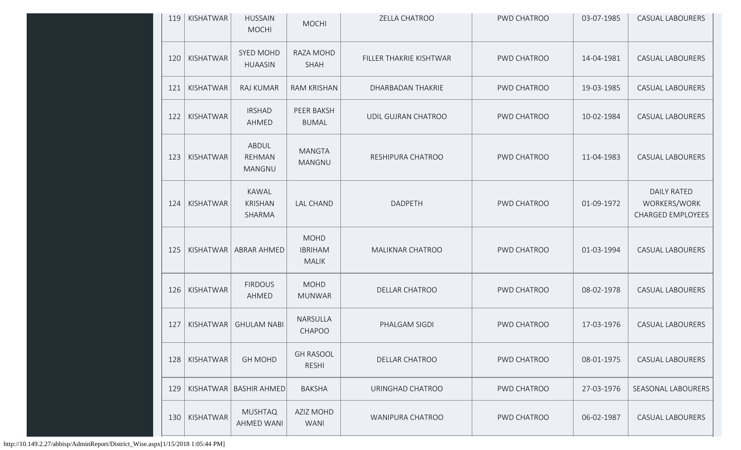| 119 | KISHATWAR | <b>HUSSAIN</b><br><b>MOCHI</b>           | <b>MOCHI</b>                                  | ZELLA CHATROO           | PWD CHATROO | 03-07-1985 | <b>CASUAL LABOURERS</b>                                        |
|-----|-----------|------------------------------------------|-----------------------------------------------|-------------------------|-------------|------------|----------------------------------------------------------------|
| 120 | KISHATWAR | SYED MOHD<br><b>HUAASIN</b>              | RAZA MOHD<br>SHAH                             | FILLER THAKRIE KISHTWAR | PWD CHATROO | 14-04-1981 | <b>CASUAL LABOURERS</b>                                        |
| 121 | KISHATWAR | RAJ KUMAR                                | <b>RAM KRISHAN</b>                            | DHARBADAN THAKRIE       | PWD CHATROO | 19-03-1985 | <b>CASUAL LABOURERS</b>                                        |
| 122 | KISHATWAR | <b>IRSHAD</b><br>AHMED                   | PEER BAKSH<br><b>BUMAL</b>                    | UDIL GUJRAN CHATROO     | PWD CHATROO | 10-02-1984 | <b>CASUAL LABOURERS</b>                                        |
| 123 | KISHATWAR | ABDUL<br><b>REHMAN</b><br>MANGNU         | <b>MANGTA</b><br>MANGNU                       | RESHIPURA CHATROO       | PWD CHATROO | 11-04-1983 | <b>CASUAL LABOURERS</b>                                        |
| 124 | KISHATWAR | <b>KAWAL</b><br><b>KRISHAN</b><br>SHARMA | <b>LAL CHAND</b>                              | DADPETH                 | PWD CHATROO | 01-09-1972 | <b>DAILY RATED</b><br>WORKERS/WORK<br><b>CHARGED EMPLOYEES</b> |
| 125 | KISHATWAR | ABRAR AHMED                              | <b>MOHD</b><br><b>IBRIHAM</b><br><b>MALIK</b> | MALIKNAR CHATROO        | PWD CHATROO | 01-03-1994 | <b>CASUAL LABOURERS</b>                                        |
| 126 | KISHATWAR | <b>FIRDOUS</b><br>AHMED                  | <b>MOHD</b><br><b>MUNWAR</b>                  | <b>DELLAR CHATROO</b>   | PWD CHATROO | 08-02-1978 | <b>CASUAL LABOURERS</b>                                        |
| 127 | KISHATWAR | <b>GHULAM NABI</b>                       | NARSULLA<br>CHAPOO                            | PHALGAM SIGDI           | PWD CHATROO | 17-03-1976 | <b>CASUAL LABOURERS</b>                                        |
| 128 | KISHATWAR | <b>GH MOHD</b>                           | <b>GH RASOOL</b><br><b>RESHI</b>              | <b>DELLAR CHATROO</b>   | PWD CHATROO | 08-01-1975 | <b>CASUAL LABOURERS</b>                                        |
| 129 |           | KISHATWAR BASHIR AHMED                   | <b>BAKSHA</b>                                 | URINGHAD CHATROO        | PWD CHATROO | 27-03-1976 | SEASONAL LABOURERS                                             |
| 130 | KISHATWAR | <b>MUSHTAQ</b><br><b>AHMED WANI</b>      | AZIZ MOHD<br><b>WANI</b>                      | WANIPURA CHATROO        | PWD CHATROO | 06-02-1987 | <b>CASUAL LABOURERS</b>                                        |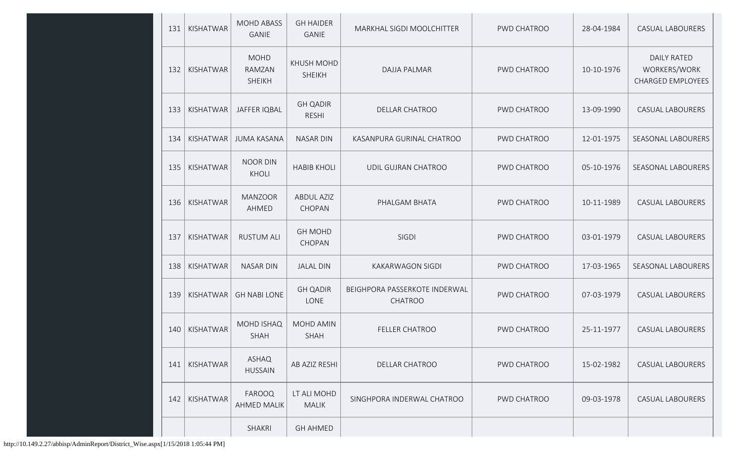| 131 | KISHATWAR | <b>MOHD ABASS</b><br><b>GANIE</b>      | <b>GH HAIDER</b><br><b>GANIE</b>   | MARKHAL SIGDI MOOLCHITTER                       | PWD CHATROO | 28-04-1984 | <b>CASUAL LABOURERS</b>                                        |
|-----|-----------|----------------------------------------|------------------------------------|-------------------------------------------------|-------------|------------|----------------------------------------------------------------|
| 132 | KISHATWAR | <b>MOHD</b><br>RAMZAN<br><b>SHEIKH</b> | <b>KHUSH MOHD</b><br><b>SHEIKH</b> | <b>DAJJA PALMAR</b>                             | PWD CHATROO | 10-10-1976 | <b>DAILY RATED</b><br>WORKERS/WORK<br><b>CHARGED EMPLOYEES</b> |
| 133 | KISHATWAR | <b>JAFFER IQBAL</b>                    | <b>GH QADIR</b><br><b>RESHI</b>    | <b>DELLAR CHATROO</b>                           | PWD CHATROO | 13-09-1990 | <b>CASUAL LABOURERS</b>                                        |
| 134 | KISHATWAR | <b>JUMA KASANA</b>                     | <b>NASAR DIN</b>                   | KASANPURA GURINAL CHATROO                       | PWD CHATROO | 12-01-1975 | SEASONAL LABOURERS                                             |
| 135 | KISHATWAR | <b>NOOR DIN</b><br>KHOLI               | <b>HABIB KHOLI</b>                 | UDIL GUJRAN CHATROO                             | PWD CHATROO | 05-10-1976 | SEASONAL LABOURERS                                             |
| 136 | KISHATWAR | <b>MANZOOR</b><br>AHMED                | <b>ABDUL AZIZ</b><br>CHOPAN        | PHALGAM BHATA                                   | PWD CHATROO | 10-11-1989 | <b>CASUAL LABOURERS</b>                                        |
| 137 | KISHATWAR | <b>RUSTUM ALI</b>                      | <b>GH MOHD</b><br>CHOPAN           | SIGDI                                           | PWD CHATROO | 03-01-1979 | <b>CASUAL LABOURERS</b>                                        |
| 138 | KISHATWAR | <b>NASAR DIN</b>                       | <b>JALAL DIN</b>                   | <b>KAKARWAGON SIGDI</b>                         | PWD CHATROO | 17-03-1965 | SEASONAL LABOURERS                                             |
| 139 | KISHATWAR | <b>GH NABI LONE</b>                    | <b>GH QADIR</b><br>LONE            | BEIGHPORA PASSERKOTE INDERWAL<br><b>CHATROO</b> | PWD CHATROO | 07-03-1979 | <b>CASUAL LABOURERS</b>                                        |
| 140 | KISHATWAR | <b>MOHD ISHAQ</b><br><b>SHAH</b>       | <b>MOHD AMIN</b><br><b>SHAH</b>    | FELLER CHATROO                                  | PWD CHATROO | 25-11-1977 | <b>CASUAL LABOURERS</b>                                        |
| 141 | KISHATWAR | ASHAQ<br><b>HUSSAIN</b>                | AB AZIZ RESHI                      | <b>DELLAR CHATROO</b>                           | PWD CHATROO | 15-02-1982 | <b>CASUAL LABOURERS</b>                                        |
| 142 | KISHATWAR | FAROOQ<br><b>AHMED MALIK</b>           | LT ALI MOHD<br><b>MALIK</b>        | SINGHPORA INDERWAL CHATROO                      | PWD CHATROO | 09-03-1978 | <b>CASUAL LABOURERS</b>                                        |
|     |           | SHAKRI                                 | <b>GH AHMED</b>                    |                                                 |             |            |                                                                |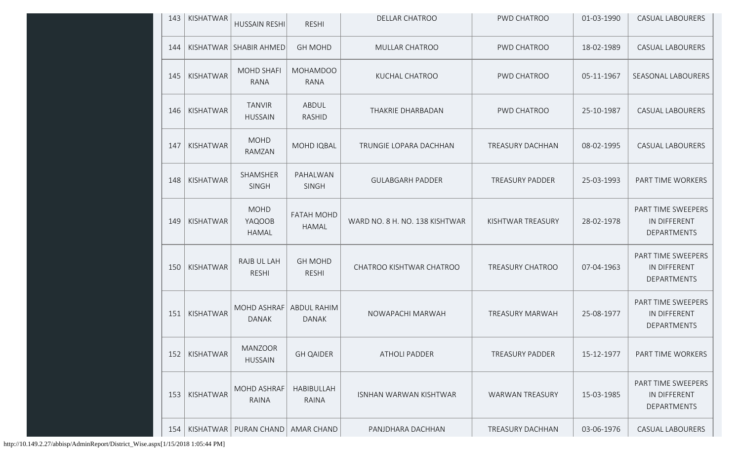| 143 | KISHATWAR        | <b>HUSSAIN RESHI</b>                  | <b>RESHI</b>                       | <b>DELLAR CHATROO</b>          | PWD CHATROO             | 01-03-1990 | <b>CASUAL LABOURERS</b>                           |
|-----|------------------|---------------------------------------|------------------------------------|--------------------------------|-------------------------|------------|---------------------------------------------------|
| 144 |                  | KISHATWAR SHABIR AHMED                | <b>GH MOHD</b>                     | MULLAR CHATROO                 | PWD CHATROO             | 18-02-1989 | <b>CASUAL LABOURERS</b>                           |
| 145 | KISHATWAR        | <b>MOHD SHAFI</b><br><b>RANA</b>      | <b>MOHAMDOO</b><br><b>RANA</b>     | KUCHAL CHATROO                 | PWD CHATROO             | 05-11-1967 | SEASONAL LABOURERS                                |
| 146 | KISHATWAR        | <b>TANVIR</b><br><b>HUSSAIN</b>       | ABDUL<br><b>RASHID</b>             | THAKRIE DHARBADAN              | PWD CHATROO             | 25-10-1987 | <b>CASUAL LABOURERS</b>                           |
| 147 | KISHATWAR        | <b>MOHD</b><br>RAMZAN                 | <b>MOHD IQBAL</b>                  | TRUNGIE LOPARA DACHHAN         | <b>TREASURY DACHHAN</b> | 08-02-1995 | <b>CASUAL LABOURERS</b>                           |
| 148 | KISHATWAR        | SHAMSHER<br><b>SINGH</b>              | PAHALWAN<br><b>SINGH</b>           | <b>GULABGARH PADDER</b>        | <b>TREASURY PADDER</b>  | 25-03-1993 | PART TIME WORKERS                                 |
| 149 | KISHATWAR        | <b>MOHD</b><br>YAQOOB<br><b>HAMAL</b> | <b>FATAH MOHD</b><br><b>HAMAL</b>  | WARD NO. 8 H. NO. 138 KISHTWAR | KISHTWAR TREASURY       | 28-02-1978 | PART TIME SWEEPERS<br>IN DIFFERENT<br>DEPARTMENTS |
| 150 | KISHATWAR        | RAJB UL LAH<br><b>RESHI</b>           | <b>GH MOHD</b><br><b>RESHI</b>     | CHATROO KISHTWAR CHATROO       | TREASURY CHATROO        | 07-04-1963 | PART TIME SWEEPERS<br>IN DIFFERENT<br>DEPARTMENTS |
| 151 | KISHATWAR        | MOHD ASHRAF<br><b>DANAK</b>           | <b>ABDUL RAHIM</b><br><b>DANAK</b> | NOWAPACHI MARWAH               | TREASURY MARWAH         | 25-08-1977 | PART TIME SWEEPERS<br>IN DIFFERENT<br>DEPARTMENTS |
| 152 | <b>KISHATWAR</b> | <b>MANZOOR</b><br><b>HUSSAIN</b>      | <b>GH QAIDER</b>                   | <b>ATHOLI PADDER</b>           | <b>TREASURY PADDER</b>  | 15-12-1977 | PART TIME WORKERS                                 |
| 153 | KISHATWAR        | MOHD ASHRAF<br>RAINA                  | HABIBULLAH<br>RAINA                | ISNHAN WARWAN KISHTWAR         | <b>WARWAN TREASURY</b>  | 15-03-1985 | PART TIME SWEEPERS<br>IN DIFFERENT<br>DEPARTMENTS |
| 154 | KISHATWAR        | PURAN CHAND                           | AMAR CHAND                         | PANJDHARA DACHHAN              | TREASURY DACHHAN        | 03-06-1976 | CASUAL LABOURERS                                  |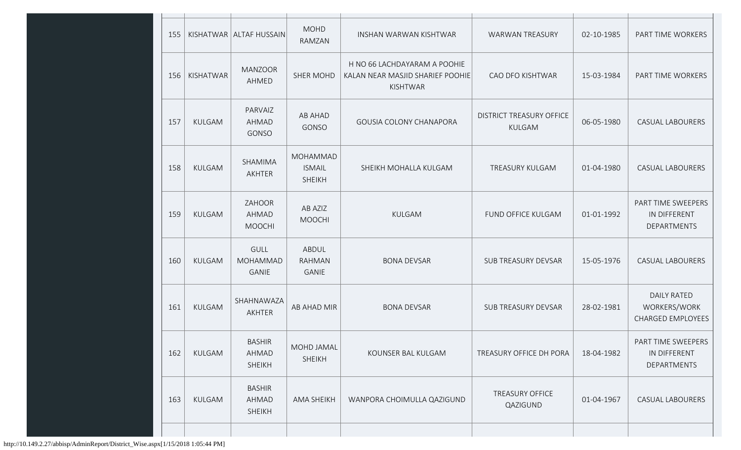| 155 |               | KISHATWAR   ALTAF HUSSAIN                      | <b>MOHD</b><br>RAMZAN                      | INSHAN WARWAN KISHTWAR                                                       | <b>WARWAN TREASURY</b>                    | 02-10-1985 | PART TIME WORKERS                                              |
|-----|---------------|------------------------------------------------|--------------------------------------------|------------------------------------------------------------------------------|-------------------------------------------|------------|----------------------------------------------------------------|
| 156 | KISHATWAR     | <b>MANZOOR</b><br>AHMED                        | <b>SHER MOHD</b>                           | H NO 66 LACHDAYARAM A POOHIE<br>KALAN NEAR MASJID SHARIEF POOHIE<br>KISHTWAR | CAO DFO KISHTWAR                          | 15-03-1984 | PART TIME WORKERS                                              |
| 157 | KULGAM        | PARVAIZ<br>AHMAD<br>GONSO                      | AB AHAD<br>GONSO                           | GOUSIA COLONY CHANAPORA                                                      | <b>DISTRICT TREASURY OFFICE</b><br>KULGAM | 06-05-1980 | CASUAL LABOURERS                                               |
| 158 | KULGAM        | SHAMIMA<br>AKHTER                              | MOHAMMAD<br><b>ISMAIL</b><br><b>SHEIKH</b> | SHEIKH MOHALLA KULGAM                                                        | TREASURY KULGAM                           | 01-04-1980 | CASUAL LABOURERS                                               |
| 159 | KULGAM        | ZAHOOR<br>AHMAD<br><b>MOOCHI</b>               | AB AZIZ<br><b>MOOCHI</b>                   | KULGAM                                                                       | FUND OFFICE KULGAM                        | 01-01-1992 | PART TIME SWEEPERS<br>IN DIFFERENT<br>DEPARTMENTS              |
| 160 | KULGAM        | <b>GULL</b><br>MOHAMMAD<br><b>GANIE</b>        | ABDUL<br><b>RAHMAN</b><br><b>GANIE</b>     | <b>BONA DEVSAR</b>                                                           | <b>SUB TREASURY DEVSAR</b>                | 15-05-1976 | CASUAL LABOURERS                                               |
| 161 | <b>KULGAM</b> | SHAHNAWAZA<br>AKHTER                           | AB AHAD MIR                                | <b>BONA DEVSAR</b>                                                           | <b>SUB TREASURY DEVSAR</b>                | 28-02-1981 | <b>DAILY RATED</b><br>WORKERS/WORK<br><b>CHARGED EMPLOYEES</b> |
| 162 | KULGAM        | <b>BASHIR</b><br>AHMAD<br><b>SHEIKH</b>        | MOHD JAMAL<br>SHEIKH                       | KOUNSER BAL KULGAM                                                           | TREASURY OFFICE DH PORA                   | 18-04-1982 | PART TIME SWEEPERS<br>IN DIFFERENT<br>DEPARTMENTS              |
| 163 | KULGAM        | <b>BASHIR</b><br><b>AHMAD</b><br><b>SHEIKH</b> | AMA SHEIKH                                 | WANPORA CHOIMULLA QAZIGUND                                                   | <b>TREASURY OFFICE</b><br>QAZIGUND        | 01-04-1967 | CASUAL LABOURERS                                               |
|     |               |                                                |                                            |                                                                              |                                           |            |                                                                |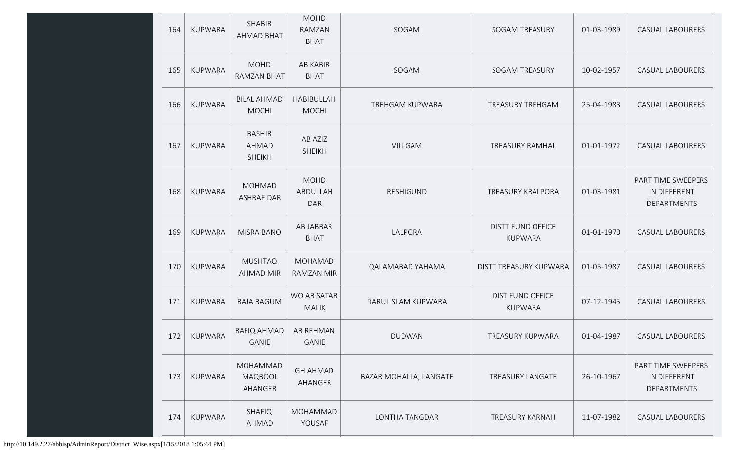| 164 | <b>KUPWARA</b> | <b>SHABIR</b><br><b>AHMAD BHAT</b>             | <b>MOHD</b><br>RAMZAN<br><b>BHAT</b>  | SOGAM                  | <b>SOGAM TREASURY</b>                      | 01-03-1989 | <b>CASUAL LABOURERS</b>                                  |
|-----|----------------|------------------------------------------------|---------------------------------------|------------------------|--------------------------------------------|------------|----------------------------------------------------------|
| 165 | <b>KUPWARA</b> | <b>MOHD</b><br><b>RAMZAN BHAT</b>              | <b>AB KABIR</b><br><b>BHAT</b>        | SOGAM                  | <b>SOGAM TREASURY</b>                      | 10-02-1957 | CASUAL LABOURERS                                         |
| 166 | <b>KUPWARA</b> | <b>BILAL AHMAD</b><br><b>MOCHI</b>             | HABIBULLAH<br><b>MOCHI</b>            | <b>TREHGAM KUPWARA</b> | TREASURY TREHGAM                           | 25-04-1988 | CASUAL LABOURERS                                         |
| 167 | <b>KUPWARA</b> | <b>BASHIR</b><br><b>AHMAD</b><br><b>SHEIKH</b> | AB AZIZ<br><b>SHEIKH</b>              | <b>VILLGAM</b>         | TREASURY RAMHAL                            | 01-01-1972 | <b>CASUAL LABOURERS</b>                                  |
| 168 | <b>KUPWARA</b> | <b>MOHMAD</b><br><b>ASHRAF DAR</b>             | <b>MOHD</b><br>ABDULLAH<br><b>DAR</b> | RESHIGUND              | TREASURY KRALPORA                          | 01-03-1981 | PART TIME SWEEPERS<br>IN DIFFERENT<br>DEPARTMENTS        |
| 169 | <b>KUPWARA</b> | <b>MISRA BANO</b>                              | AB JABBAR<br><b>BHAT</b>              | LALPORA                | <b>DISTT FUND OFFICE</b><br><b>KUPWARA</b> | 01-01-1970 | <b>CASUAL LABOURERS</b>                                  |
| 170 | <b>KUPWARA</b> | <b>MUSHTAQ</b><br><b>AHMAD MIR</b>             | <b>MOHAMAD</b><br>RAMZAN MIR          | QALAMABAD YAHAMA       | DISTT TREASURY KUPWARA                     | 01-05-1987 | <b>CASUAL LABOURERS</b>                                  |
| 171 | <b>KUPWARA</b> | <b>RAJA BAGUM</b>                              | WO AB SATAR<br><b>MALIK</b>           | DARUL SLAM KUPWARA     | <b>DIST FUND OFFICE</b><br><b>KUPWARA</b>  | 07-12-1945 | <b>CASUAL LABOURERS</b>                                  |
| 172 | <b>KUPWARA</b> | RAFIQ AHMAD<br>GANIE                           | <b>AB REHMAN</b><br>GANIE             | <b>DUDWAN</b>          | TREASURY KUPWARA                           | 01-04-1987 | CASUAL LABOURERS                                         |
| 173 | KUPWARA        | MOHAMMAD<br>MAQBOOL<br>AHANGER                 | <b>GH AHMAD</b><br>AHANGER            | BAZAR MOHALLA, LANGATE | <b>TREASURY LANGATE</b>                    | 26-10-1967 | PART TIME SWEEPERS<br>IN DIFFERENT<br><b>DEPARTMENTS</b> |
| 174 | KUPWARA        | <b>SHAFIQ</b><br>AHMAD                         | MOHAMMAD<br>YOUSAF                    | LONTHA TANGDAR         | <b>TREASURY KARNAH</b>                     | 11-07-1982 | CASUAL LABOURERS                                         |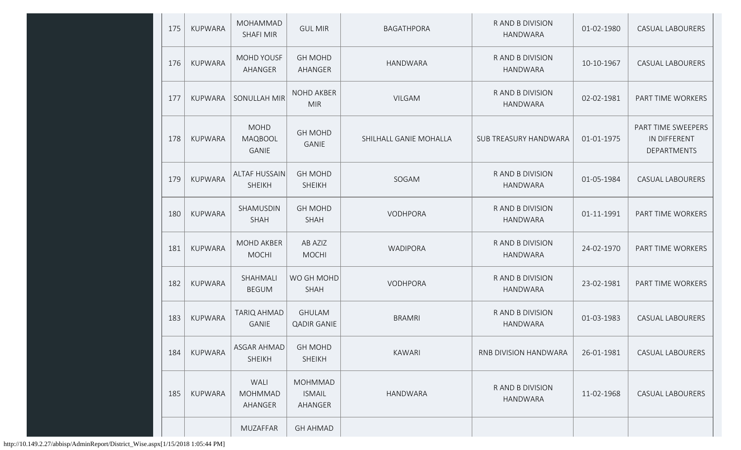| 175 | <b>KUPWARA</b> | <b>MOHAMMAD</b><br><b>SHAFI MIR</b>    | <b>GUL MIR</b>                             | <b>BAGATHPORA</b>      | R AND B DIVISION<br><b>HANDWARA</b>       | 01-02-1980 | <b>CASUAL LABOURERS</b>                                  |
|-----|----------------|----------------------------------------|--------------------------------------------|------------------------|-------------------------------------------|------------|----------------------------------------------------------|
| 176 | KUPWARA        | MOHD YOUSF<br>AHANGER                  | <b>GH MOHD</b><br>AHANGER                  | <b>HANDWARA</b>        | R AND B DIVISION<br><b>HANDWARA</b>       | 10-10-1967 | <b>CASUAL LABOURERS</b>                                  |
| 177 | KUPWARA        | SONULLAH MIR                           | <b>NOHD AKBER</b><br><b>MIR</b>            | <b>VILGAM</b>          | R AND B DIVISION<br><b>HANDWARA</b>       | 02-02-1981 | PART TIME WORKERS                                        |
| 178 | KUPWARA        | <b>MOHD</b><br>MAQBOOL<br><b>GANIE</b> | <b>GH MOHD</b><br><b>GANIE</b>             | SHILHALL GANIE MOHALLA | SUB TREASURY HANDWARA                     | 01-01-1975 | PART TIME SWEEPERS<br>IN DIFFERENT<br><b>DEPARTMENTS</b> |
| 179 | <b>KUPWARA</b> | <b>ALTAF HUSSAIN</b><br><b>SHEIKH</b>  | <b>GH MOHD</b><br><b>SHEIKH</b>            | SOGAM                  | R AND B DIVISION<br><b>HANDWARA</b>       | 01-05-1984 | <b>CASUAL LABOURERS</b>                                  |
| 180 | KUPWARA        | SHAMUSDIN<br><b>SHAH</b>               | <b>GH MOHD</b><br>SHAH                     | VODHPORA               | R AND B DIVISION<br><b>HANDWARA</b>       | 01-11-1991 | PART TIME WORKERS                                        |
| 181 | <b>KUPWARA</b> | <b>MOHD AKBER</b><br><b>MOCHI</b>      | AB AZIZ<br><b>MOCHI</b>                    | <b>WADIPORA</b>        | R AND B DIVISION<br><b>HANDWARA</b>       | 24-02-1970 | PART TIME WORKERS                                        |
| 182 | <b>KUPWARA</b> | SHAHMALI<br><b>BEGUM</b>               | WO GH MOHD<br>SHAH                         | VODHPORA               | R AND B DIVISION<br><b>HANDWARA</b>       | 23-02-1981 | PART TIME WORKERS                                        |
| 183 | KUPWARA        | <b>TARIQ AHMAD</b><br><b>GANIE</b>     | <b>GHULAM</b><br><b>QADIR GANIE</b>        | <b>BRAMRI</b>          | <b>RAND B DIVISION</b><br><b>HANDWARA</b> | 01-03-1983 | <b>CASUAL LABOURERS</b>                                  |
| 184 | <b>KUPWARA</b> | ASGAR AHMAD<br><b>SHEIKH</b>           | <b>GH MOHD</b><br><b>SHEIKH</b>            | <b>KAWARI</b>          | RNB DIVISION HANDWARA                     | 26-01-1981 | <b>CASUAL LABOURERS</b>                                  |
| 185 | KUPWARA        | WALI<br><b>MOHMMAD</b><br>AHANGER      | <b>MOHMMAD</b><br><b>ISMAIL</b><br>AHANGER | <b>HANDWARA</b>        | R AND B DIVISION<br><b>HANDWARA</b>       | 11-02-1968 | <b>CASUAL LABOURERS</b>                                  |
|     |                | MUZAFFAR                               | <b>GH AHMAD</b>                            |                        |                                           |            |                                                          |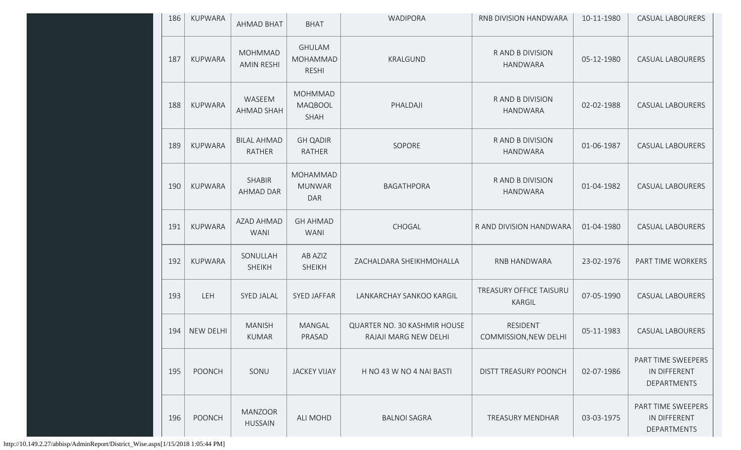| 186 | <b>KUPWARA</b>   | <b>AHMAD BHAT</b>                   | <b>BHAT</b>                                     | WADIPORA                                              | RNB DIVISION HANDWARA                     | 10-11-1980 | CASUAL LABOURERS                                  |
|-----|------------------|-------------------------------------|-------------------------------------------------|-------------------------------------------------------|-------------------------------------------|------------|---------------------------------------------------|
| 187 | <b>KUPWARA</b>   | <b>MOHMMAD</b><br><b>AMIN RESHI</b> | <b>GHULAM</b><br>MOHAMMAD<br><b>RESHI</b>       | KRALGUND                                              | R AND B DIVISION<br><b>HANDWARA</b>       | 05-12-1980 | CASUAL LABOURERS                                  |
| 188 | <b>KUPWARA</b>   | WASEEM<br><b>AHMAD SHAH</b>         | <b>MOHMMAD</b><br><b>MAQBOOL</b><br><b>SHAH</b> | PHALDAJI                                              | R AND B DIVISION<br><b>HANDWARA</b>       | 02-02-1988 | <b>CASUAL LABOURERS</b>                           |
| 189 | <b>KUPWARA</b>   | <b>BILAL AHMAD</b><br><b>RATHER</b> | <b>GH QADIR</b><br><b>RATHER</b>                | SOPORE                                                | R AND B DIVISION<br><b>HANDWARA</b>       | 01-06-1987 | <b>CASUAL LABOURERS</b>                           |
| 190 | <b>KUPWARA</b>   | <b>SHABIR</b><br><b>AHMAD DAR</b>   | MOHAMMAD<br><b>MUNWAR</b><br><b>DAR</b>         | <b>BAGATHPORA</b>                                     | <b>RAND B DIVISION</b><br><b>HANDWARA</b> | 01-04-1982 | <b>CASUAL LABOURERS</b>                           |
| 191 | <b>KUPWARA</b>   | AZAD AHMAD<br><b>WANI</b>           | <b>GH AHMAD</b><br><b>WANI</b>                  | CHOGAL                                                | R AND DIVISION HANDWARA                   | 01-04-1980 | <b>CASUAL LABOURERS</b>                           |
| 192 | <b>KUPWARA</b>   | SONULLAH<br><b>SHEIKH</b>           | AB AZIZ<br><b>SHEIKH</b>                        | ZACHALDARA SHEIKHMOHALLA                              | RNB HANDWARA                              | 23-02-1976 | PART TIME WORKERS                                 |
| 193 | LEH              | <b>SYED JALAL</b>                   | <b>SYED JAFFAR</b>                              | LANKARCHAY SANKOO KARGIL                              | TREASURY OFFICE TAISURU<br>KARGIL         | 07-05-1990 | <b>CASUAL LABOURERS</b>                           |
| 194 | <b>NEW DELHI</b> | <b>MANISH</b><br><b>KUMAR</b>       | MANGAL<br>PRASAD                                | QUARTER NO. 30 KASHMIR HOUSE<br>RAJAJI MARG NEW DELHI | <b>RESIDENT</b><br>COMMISSION, NEW DELHI  | 05-11-1983 | <b>CASUAL LABOURERS</b>                           |
| 195 | <b>POONCH</b>    | SONU                                | <b>JACKEY VIJAY</b>                             | H NO 43 W NO 4 NAI BASTI                              | DISTT TREASURY POONCH                     | 02-07-1986 | PART TIME SWEEPERS<br>IN DIFFERENT<br>DEPARTMENTS |
| 196 | <b>POONCH</b>    | <b>MANZOOR</b><br><b>HUSSAIN</b>    | <b>ALI MOHD</b>                                 | <b>BALNOI SAGRA</b>                                   | <b>TREASURY MENDHAR</b>                   | 03-03-1975 | PART TIME SWEEPERS<br>IN DIFFERENT<br>DEPARTMENTS |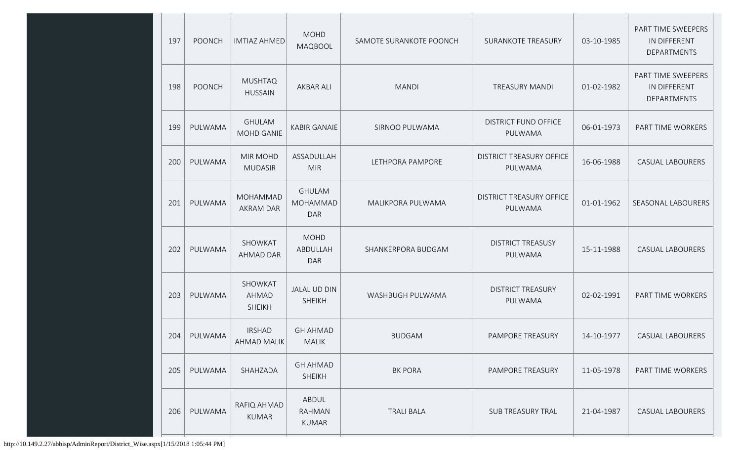| 197 | <b>POONCH</b> | <b>IMTIAZ AHMED</b>                | <b>MOHD</b><br><b>MAQBOOL</b>                  | SAMOTE SURANKOTE POONCH | <b>SURANKOTE TREASURY</b>                  | 03-10-1985 | PART TIME SWEEPERS<br>IN DIFFERENT<br><b>DEPARTMENTS</b> |
|-----|---------------|------------------------------------|------------------------------------------------|-------------------------|--------------------------------------------|------------|----------------------------------------------------------|
| 198 | <b>POONCH</b> | <b>MUSHTAQ</b><br><b>HUSSAIN</b>   | <b>AKBAR ALI</b>                               | <b>MANDI</b>            | <b>TREASURY MANDI</b>                      | 01-02-1982 | PART TIME SWEEPERS<br>IN DIFFERENT<br>DEPARTMENTS        |
| 199 | PULWAMA       | <b>GHULAM</b><br><b>MOHD GANIE</b> | <b>KABIR GANAIE</b>                            | SIRNOO PULWAMA          | <b>DISTRICT FUND OFFICE</b><br>PULWAMA     | 06-01-1973 | PART TIME WORKERS                                        |
| 200 | PULWAMA       | <b>MIR MOHD</b><br><b>MUDASIR</b>  | ASSADULLAH<br><b>MIR</b>                       | LETHPORA PAMPORE        | <b>DISTRICT TREASURY OFFICE</b><br>PULWAMA | 16-06-1988 | <b>CASUAL LABOURERS</b>                                  |
| 201 | PULWAMA       | MOHAMMAD<br><b>AKRAM DAR</b>       | <b>GHULAM</b><br><b>MOHAMMAD</b><br><b>DAR</b> | MALIKPORA PULWAMA       | <b>DISTRICT TREASURY OFFICE</b><br>PULWAMA | 01-01-1962 | SEASONAL LABOURERS                                       |
| 202 | PULWAMA       | SHOWKAT<br>AHMAD DAR               | <b>MOHD</b><br>ABDULLAH<br><b>DAR</b>          | SHANKERPORA BUDGAM      | <b>DISTRICT TREASUSY</b><br>PULWAMA        | 15-11-1988 | <b>CASUAL LABOURERS</b>                                  |
| 203 | PULWAMA       | SHOWKAT<br>AHMAD<br><b>SHEIKH</b>  | <b>JALAL UD DIN</b><br><b>SHEIKH</b>           | WASHBUGH PULWAMA        | <b>DISTRICT TREASURY</b><br>PULWAMA        | 02-02-1991 | PART TIME WORKERS                                        |
| 204 | PULWAMA       | <b>IRSHAD</b><br>AHMAD MALIK       | <b>GH AHMAD</b><br>MALIK                       | <b>BUDGAM</b>           | PAMPORE TREASURY                           | 14-10-1977 | <b>CASUAL LABOURERS</b>                                  |
| 205 | PULWAMA       | SHAHZADA                           | <b>GH AHMAD</b><br><b>SHEIKH</b>               | <b>BK PORA</b>          | PAMPORE TREASURY                           | 11-05-1978 | PART TIME WORKERS                                        |
| 206 | PULWAMA       | RAFIQ AHMAD<br><b>KUMAR</b>        | ABDUL<br>RAHMAN<br>KUMAR                       | <b>TRALI BALA</b>       | SUB TREASURY TRAL                          | 21-04-1987 | <b>CASUAL LABOURERS</b>                                  |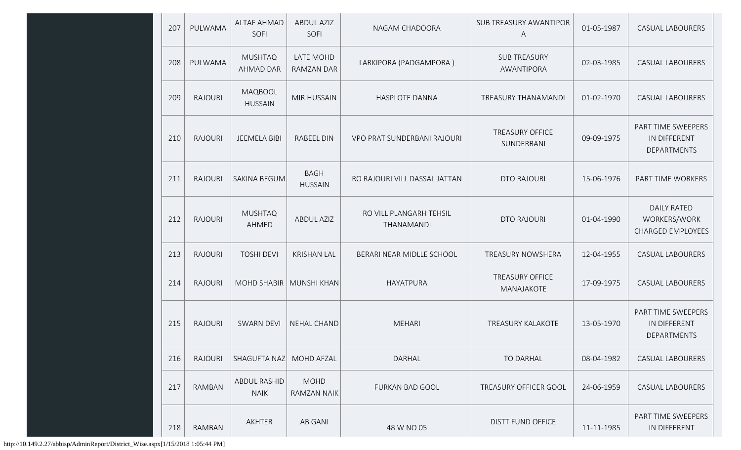| 207 | PULWAMA        | <b>ALTAF AHMAD</b><br>SOFI         | <b>ABDUL AZIZ</b><br>SOFI      | NAGAM CHADOORA                        | SUB TREASURY AWANTIPOR<br>Α          | 01-05-1987 | CASUAL LABOURERS                                               |
|-----|----------------|------------------------------------|--------------------------------|---------------------------------------|--------------------------------------|------------|----------------------------------------------------------------|
| 208 | PULWAMA        | <b>MUSHTAQ</b><br><b>AHMAD DAR</b> | LATE MOHD<br><b>RAMZAN DAR</b> | LARKIPORA (PADGAMPORA)                | <b>SUB TREASURY</b><br>AWANTIPORA    | 02-03-1985 | <b>CASUAL LABOURERS</b>                                        |
| 209 | <b>RAJOURI</b> | MAQBOOL<br><b>HUSSAIN</b>          | <b>MIR HUSSAIN</b>             | HASPLOTE DANNA                        | TREASURY THANAMANDI                  | 01-02-1970 | <b>CASUAL LABOURERS</b>                                        |
| 210 | <b>RAJOURI</b> | <b>JEEMELA BIBI</b>                | <b>RABEEL DIN</b>              | VPO PRAT SUNDERBANI RAJOURI           | <b>TREASURY OFFICE</b><br>SUNDERBANI | 09-09-1975 | PART TIME SWEEPERS<br>IN DIFFERENT<br>DEPARTMENTS              |
| 211 | <b>RAJOURI</b> | SAKINA BEGUM                       | <b>BAGH</b><br><b>HUSSAIN</b>  | RO RAJOURI VILL DASSAL JATTAN         | DTO RAJOURI                          | 15-06-1976 | PART TIME WORKERS                                              |
| 212 | <b>RAJOURI</b> | <b>MUSHTAQ</b><br>AHMED            | <b>ABDUL AZIZ</b>              | RO VILL PLANGARH TEHSIL<br>THANAMANDI | <b>DTO RAJOURI</b>                   | 01-04-1990 | <b>DAILY RATED</b><br>WORKERS/WORK<br><b>CHARGED EMPLOYEES</b> |
| 213 | <b>RAJOURI</b> | <b>TOSHI DEVI</b>                  | <b>KRISHAN LAL</b>             | BERARI NEAR MIDLLE SCHOOL             | TREASURY NOWSHERA                    | 12-04-1955 | <b>CASUAL LABOURERS</b>                                        |
| 214 | <b>RAJOURI</b> | MOHD SHABIR   MUNSHI KHAN          |                                | HAYATPURA                             | <b>TREASURY OFFICE</b><br>MANAJAKOTE | 17-09-1975 | <b>CASUAL LABOURERS</b>                                        |
| 215 | <b>RAJOURI</b> | <b>SWARN DEVI</b>                  | NEHAL CHAND                    | <b>MEHARI</b>                         | TREASURY KALAKOTE                    | 13-05-1970 | PART TIME SWEEPERS<br>IN DIFFERENT<br>DEPARTMENTS              |
| 216 | <b>RAJOURI</b> | SHAGUFTA NAZ                       | <b>MOHD AFZAL</b>              | DARHAL                                | <b>TO DARHAL</b>                     | 08-04-1982 | <b>CASUAL LABOURERS</b>                                        |
| 217 | <b>RAMBAN</b>  | ABDUL RASHID<br><b>NAIK</b>        | <b>MOHD</b><br>RAMZAN NAIK     | <b>FURKAN BAD GOOL</b>                | TREASURY OFFICER GOOL                | 24-06-1959 | <b>CASUAL LABOURERS</b>                                        |
| 218 | RAMBAN         | AKHTER                             | <b>AB GANI</b>                 | 48 W NO 05                            | <b>DISTT FUND OFFICE</b>             | 11-11-1985 | PART TIME SWEEPERS<br>IN DIFFERENT                             |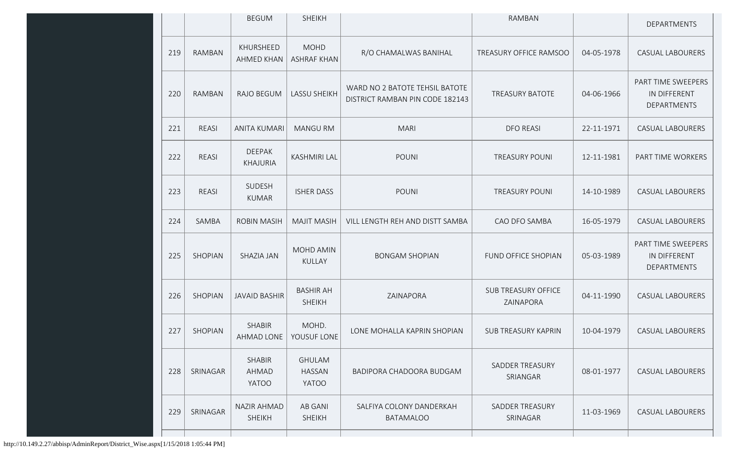|     |                | <b>BEGUM</b>                        | <b>SHEIKH</b>                           |                                                                   | <b>RAMBAN</b>                           |            | DEPARTMENTS                                       |
|-----|----------------|-------------------------------------|-----------------------------------------|-------------------------------------------------------------------|-----------------------------------------|------------|---------------------------------------------------|
| 219 | <b>RAMBAN</b>  | KHURSHEED<br><b>AHMED KHAN</b>      | <b>MOHD</b><br><b>ASHRAF KHAN</b>       | R/O CHAMALWAS BANIHAL                                             | TREASURY OFFICE RAMSOO                  | 04-05-1978 | <b>CASUAL LABOURERS</b>                           |
| 220 | <b>RAMBAN</b>  | <b>RAJO BEGUM</b>                   | <b>LASSU SHEIKH</b>                     | WARD NO 2 BATOTE TEHSIL BATOTE<br>DISTRICT RAMBAN PIN CODE 182143 | <b>TREASURY BATOTE</b>                  | 04-06-1966 | PART TIME SWEEPERS<br>IN DIFFERENT<br>DEPARTMENTS |
| 221 | <b>REASI</b>   | <b>ANITA KUMARI</b>                 | <b>MANGU RM</b>                         | <b>MARI</b>                                                       | <b>DFO REASI</b>                        | 22-11-1971 | <b>CASUAL LABOURERS</b>                           |
| 222 | REASI          | <b>DEEPAK</b><br><b>KHAJURIA</b>    | <b>KASHMIRI LAL</b>                     | <b>POUNI</b>                                                      | <b>TREASURY POUNI</b>                   | 12-11-1981 | PART TIME WORKERS                                 |
| 223 | REASI          | SUDESH<br><b>KUMAR</b>              | <b>ISHER DASS</b>                       | <b>POUNI</b>                                                      | <b>TREASURY POUNI</b>                   | 14-10-1989 | <b>CASUAL LABOURERS</b>                           |
| 224 | SAMBA          | <b>ROBIN MASIH</b>                  | <b>MAJIT MASIH</b>                      | VILL LENGTH REH AND DISTT SAMBA                                   | CAO DFO SAMBA                           | 16-05-1979 | <b>CASUAL LABOURERS</b>                           |
| 225 | <b>SHOPIAN</b> | SHAZIA JAN                          | MOHD AMIN<br><b>KULLAY</b>              | <b>BONGAM SHOPIAN</b>                                             | FUND OFFICE SHOPIAN                     | 05-03-1989 | PART TIME SWEEPERS<br>IN DIFFERENT<br>DEPARTMENTS |
| 226 | <b>SHOPIAN</b> | <b>JAVAID BASHIR</b>                | <b>BASHIR AH</b><br><b>SHEIKH</b>       | ZAINAPORA                                                         | <b>SUB TREASURY OFFICE</b><br>ZAINAPORA | 04-11-1990 | <b>CASUAL LABOURERS</b>                           |
| 227 | SHOPIAN        | <b>SHABIR</b><br>AHMAD LONE         | MOHD.<br>YOUSUF LONE                    | LONE MOHALLA KAPRIN SHOPIAN                                       | <b>SUB TREASURY KAPRIN</b>              | 10-04-1979 | <b>CASUAL LABOURERS</b>                           |
| 228 | SRINAGAR       | <b>SHABIR</b><br>AHMAD<br>YATOO     | <b>GHULAM</b><br><b>HASSAN</b><br>YATOO | BADIPORA CHADOORA BUDGAM                                          | SADDER TREASURY<br>SRIANGAR             | 08-01-1977 | <b>CASUAL LABOURERS</b>                           |
| 229 | SRINAGAR       | <b>NAZIR AHMAD</b><br><b>SHEIKH</b> | <b>AB GANI</b><br><b>SHEIKH</b>         | SALFIYA COLONY DANDERKAH<br><b>BATAMALOO</b>                      | SADDER TREASURY<br>SRINAGAR             | 11-03-1969 | <b>CASUAL LABOURERS</b>                           |
|     |                |                                     |                                         |                                                                   |                                         |            |                                                   |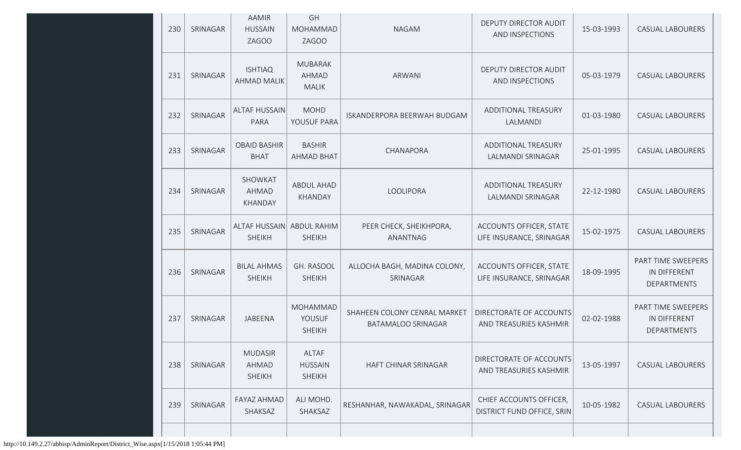| 230 | SRINAGAR | <b>AAMIR</b><br><b>HUSSAIN</b><br>ZAGOO    | GH<br>MOHAMMAD<br><b>ZAGOO</b>                 | <b>NAGAM</b>                                       | <b>DEPUTY DIRECTOR AUDIT</b><br>AND INSPECTIONS       | 15-03-1993 | <b>CASUAL LABOURERS</b>                           |
|-----|----------|--------------------------------------------|------------------------------------------------|----------------------------------------------------|-------------------------------------------------------|------------|---------------------------------------------------|
| 231 | SRINAGAR | <b>ISHTIAQ</b><br><b>AHMAD MALIK</b>       | <b>MUBARAK</b><br><b>AHMAD</b><br><b>MALIK</b> | ARWANI                                             | DEPUTY DIRECTOR AUDIT<br>AND INSPECTIONS              | 05-03-1979 | <b>CASUAL LABOURERS</b>                           |
| 232 | SRINAGAR | <b>ALTAF HUSSAIN</b><br>PARA               | <b>MOHD</b><br>YOUSUF PARA                     | ISKANDERPORA BEERWAH BUDGAM                        | ADDITIONAL TREASURY<br>LALMANDI                       | 01-03-1980 | <b>CASUAL LABOURERS</b>                           |
| 233 | SRINAGAR | <b>OBAID BASHIR</b><br><b>BHAT</b>         | <b>BASHIR</b><br><b>AHMAD BHAT</b>             | CHANAPORA                                          | ADDITIONAL TREASURY<br>LALMANDI SRINAGAR              | 25-01-1995 | <b>CASUAL LABOURERS</b>                           |
| 234 | SRINAGAR | SHOWKAT<br>AHMAD<br>KHANDAY                | <b>ABDUL AHAD</b><br>KHANDAY                   | LOOLIPORA                                          | ADDITIONAL TREASURY<br>LALMANDI SRINAGAR              | 22-12-1980 | <b>CASUAL LABOURERS</b>                           |
| 235 | SRINAGAR | ALTAF HUSSAIN ABDUL RAHIM<br><b>SHEIKH</b> | <b>SHEIKH</b>                                  | PEER CHECK, SHEIKHPORA,<br>ANANTNAG                | ACCOUNTS OFFICER, STATE<br>LIFE INSURANCE, SRINAGAR   | 15-02-1975 | <b>CASUAL LABOURERS</b>                           |
| 236 | SRINAGAR | <b>BILAL AHMAS</b><br><b>SHEIKH</b>        | GH. RASOOL<br><b>SHEIKH</b>                    | ALLOCHA BAGH, MADINA COLONY,<br>SRINAGAR           | ACCOUNTS OFFICER, STATE<br>LIFE INSURANCE, SRINAGAR   | 18-09-1995 | PART TIME SWEEPERS<br>IN DIFFERENT<br>DEPARTMENTS |
| 237 | SRINAGAR | JABEENA                                    | MOHAMMAD<br>YOUSUF<br><b>SHEIKH</b>            | SHAHEEN COLONY CENRAL MARKET<br>BATAMALOO SRINAGAR | DIRECTORATE OF ACCOUNTS<br>AND TREASURIES KASHMIR     | 02-02-1988 | PART TIME SWEEPERS<br>IN DIFFERENT<br>DEPARTMENTS |
| 238 | SRINAGAR | <b>MUDASIR</b><br>AHMAD<br><b>SHEIKH</b>   | ALTAF<br><b>HUSSAIN</b><br><b>SHEIKH</b>       | HAFT CHINAR SRINAGAR                               | DIRECTORATE OF ACCOUNTS<br>AND TREASURIES KASHMIR     | 13-05-1997 | CASUAL LABOURERS                                  |
| 239 | SRINAGAR | FAYAZ AHMAD<br>SHAKSAZ                     | ALI MOHD.<br>SHAKSAZ                           | RESHANHAR, NAWAKADAL, SRINAGAR                     | CHIEF ACCOUNTS OFFICER,<br>DISTRICT FUND OFFICE, SRIN | 10-05-1982 | CASUAL LABOURERS                                  |
|     |          |                                            |                                                |                                                    |                                                       |            |                                                   |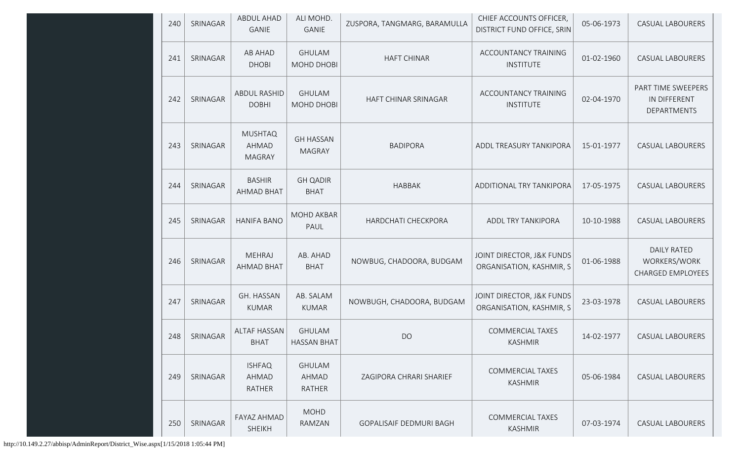| 240 | SRINAGAR | ABDUL AHAD<br><b>GANIE</b>               | ALI MOHD.<br><b>GANIE</b>           | ZUSPORA, TANGMARG, BARAMULLA   | CHIEF ACCOUNTS OFFICER,<br>DISTRICT FUND OFFICE, SRIN | 05-06-1973 | CASUAL LABOURERS                                               |
|-----|----------|------------------------------------------|-------------------------------------|--------------------------------|-------------------------------------------------------|------------|----------------------------------------------------------------|
| 241 | SRINAGAR | <b>AB AHAD</b><br><b>DHOBI</b>           | <b>GHULAM</b><br>MOHD DHOBI         | <b>HAFT CHINAR</b>             | ACCOUNTANCY TRAINING<br><b>INSTITUTE</b>              | 01-02-1960 | CASUAL LABOURERS                                               |
| 242 | SRINAGAR | <b>ABDUL RASHID</b><br><b>DOBHI</b>      | <b>GHULAM</b><br>MOHD DHOBI         | HAFT CHINAR SRINAGAR           | <b>ACCOUNTANCY TRAINING</b><br><b>INSTITUTE</b>       | 02-04-1970 | PART TIME SWEEPERS<br>IN DIFFERENT<br><b>DEPARTMENTS</b>       |
| 243 | SRINAGAR | <b>MUSHTAQ</b><br>AHMAD<br><b>MAGRAY</b> | <b>GH HASSAN</b><br><b>MAGRAY</b>   | <b>BADIPORA</b>                | ADDL TREASURY TANKIPORA                               | 15-01-1977 | <b>CASUAL LABOURERS</b>                                        |
| 244 | SRINAGAR | <b>BASHIR</b><br><b>AHMAD BHAT</b>       | <b>GH QADIR</b><br><b>BHAT</b>      | <b>HABBAK</b>                  | ADDITIONAL TRY TANKIPORA                              | 17-05-1975 | <b>CASUAL LABOURERS</b>                                        |
| 245 | SRINAGAR | <b>HANIFA BANO</b>                       | <b>MOHD AKBAR</b><br>PAUL           | HARDCHATI CHECKPORA            | ADDL TRY TANKIPORA                                    | 10-10-1988 | <b>CASUAL LABOURERS</b>                                        |
| 246 | SRINAGAR | <b>MEHRAJ</b><br><b>AHMAD BHAT</b>       | AB. AHAD<br><b>BHAT</b>             | NOWBUG, CHADOORA, BUDGAM       | JOINT DIRECTOR, J&K FUNDS<br>ORGANISATION, KASHMIR, S | 01-06-1988 | <b>DAILY RATED</b><br>WORKERS/WORK<br><b>CHARGED EMPLOYEES</b> |
| 247 | SRINAGAR | GH. HASSAN<br><b>KUMAR</b>               | AB. SALAM<br><b>KUMAR</b>           | NOWBUGH, CHADOORA, BUDGAM      | JOINT DIRECTOR, J&K FUNDS<br>ORGANISATION, KASHMIR, S | 23-03-1978 | <b>CASUAL LABOURERS</b>                                        |
| 248 | SRINAGAR | ALTAF HASSAN<br><b>BHAT</b>              | <b>GHULAM</b><br><b>HASSAN BHAT</b> | <b>DO</b>                      | <b>COMMERCIAL TAXES</b><br><b>KASHMIR</b>             | 14-02-1977 | <b>CASUAL LABOURERS</b>                                        |
| 249 | SRINAGAR | <b>ISHFAQ</b><br>AHMAD<br>RATHER         | <b>GHULAM</b><br>AHMAD<br>RATHER    | ZAGIPORA CHRARI SHARIEF        | <b>COMMERCIAL TAXES</b><br><b>KASHMIR</b>             | 05-06-1984 | <b>CASUAL LABOURERS</b>                                        |
| 250 | SRINAGAR | FAYAZ AHMAD<br><b>SHEIKH</b>             | <b>MOHD</b><br>RAMZAN               | <b>GOPALISAIF DEDMURI BAGH</b> | <b>COMMERCIAL TAXES</b><br><b>KASHMIR</b>             | 07-03-1974 | <b>CASUAL LABOURERS</b>                                        |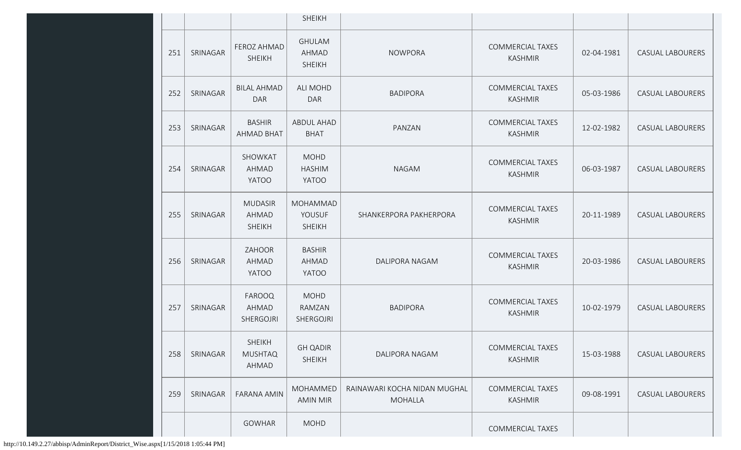|     |          |                                          | <b>SHEIKH</b>                           |                                                |                                           |            |                         |
|-----|----------|------------------------------------------|-----------------------------------------|------------------------------------------------|-------------------------------------------|------------|-------------------------|
| 251 | SRINAGAR | FEROZ AHMAD<br><b>SHEIKH</b>             | <b>GHULAM</b><br>AHMAD<br><b>SHEIKH</b> | <b>NOWPORA</b>                                 | <b>COMMERCIAL TAXES</b><br><b>KASHMIR</b> | 02-04-1981 | <b>CASUAL LABOURERS</b> |
| 252 | SRINAGAR | <b>BILAL AHMAD</b><br><b>DAR</b>         | <b>ALI MOHD</b><br><b>DAR</b>           | <b>BADIPORA</b>                                | <b>COMMERCIAL TAXES</b><br><b>KASHMIR</b> | 05-03-1986 | <b>CASUAL LABOURERS</b> |
| 253 | SRINAGAR | <b>BASHIR</b><br><b>AHMAD BHAT</b>       | ABDUL AHAD<br><b>BHAT</b>               | PANZAN                                         | <b>COMMERCIAL TAXES</b><br><b>KASHMIR</b> | 12-02-1982 | <b>CASUAL LABOURERS</b> |
| 254 | SRINAGAR | SHOWKAT<br>AHMAD<br><b>YATOO</b>         | <b>MOHD</b><br><b>HASHIM</b><br>YATOO   | <b>NAGAM</b>                                   | <b>COMMERCIAL TAXES</b><br><b>KASHMIR</b> | 06-03-1987 | <b>CASUAL LABOURERS</b> |
| 255 | SRINAGAR | <b>MUDASIR</b><br>AHMAD<br><b>SHEIKH</b> | MOHAMMAD<br>YOUSUF<br><b>SHEIKH</b>     | SHANKERPORA PAKHERPORA                         | <b>COMMERCIAL TAXES</b><br><b>KASHMIR</b> | 20-11-1989 | <b>CASUAL LABOURERS</b> |
| 256 | SRINAGAR | ZAHOOR<br>AHMAD<br><b>YATOO</b>          | <b>BASHIR</b><br>AHMAD<br><b>YATOO</b>  | DALIPORA NAGAM                                 | <b>COMMERCIAL TAXES</b><br><b>KASHMIR</b> | 20-03-1986 | <b>CASUAL LABOURERS</b> |
| 257 | SRINAGAR | FAROOQ<br>AHMAD<br>SHERGOJRI             | <b>MOHD</b><br>RAMZAN<br>SHERGOJRI      | <b>BADIPORA</b>                                | <b>COMMERCIAL TAXES</b><br><b>KASHMIR</b> | 10-02-1979 | <b>CASUAL LABOURERS</b> |
| 258 | SRINAGAR | <b>SHEIKH</b><br><b>MUSHTAQ</b><br>AHMAD | <b>GH QADIR</b><br><b>SHEIKH</b>        | DALIPORA NAGAM                                 | <b>COMMERCIAL TAXES</b><br><b>KASHMIR</b> | 15-03-1988 | <b>CASUAL LABOURERS</b> |
| 259 | SRINAGAR | <b>FARANA AMIN</b>                       | MOHAMMED<br>AMIN MIR                    | RAINAWARI KOCHA NIDAN MUGHAL<br><b>MOHALLA</b> | <b>COMMERCIAL TAXES</b><br><b>KASHMIR</b> | 09-08-1991 | <b>CASUAL LABOURERS</b> |
|     |          | GOWHAR                                   | <b>MOHD</b>                             |                                                | <b>COMMERCIAL TAXES</b>                   |            |                         |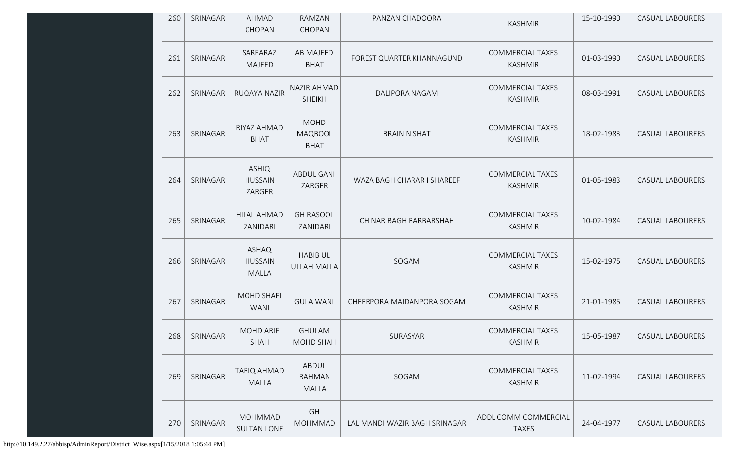| 260 | SRINAGAR | AHMAD<br>CHOPAN                          | RAMZAN<br>CHOPAN                      | PANZAN CHADOORA               | <b>KASHMIR</b>                            | 15-10-1990 | <b>CASUAL LABOURERS</b> |
|-----|----------|------------------------------------------|---------------------------------------|-------------------------------|-------------------------------------------|------------|-------------------------|
| 261 | SRINAGAR | SARFARAZ<br>MAJEED                       | AB MAJEED<br><b>BHAT</b>              | FOREST QUARTER KHANNAGUND     | <b>COMMERCIAL TAXES</b><br><b>KASHMIR</b> | 01-03-1990 | <b>CASUAL LABOURERS</b> |
| 262 | SRINAGAR | RUQAYA NAZIR                             | <b>NAZIR AHMAD</b><br><b>SHEIKH</b>   | DALIPORA NAGAM                | <b>COMMERCIAL TAXES</b><br><b>KASHMIR</b> | 08-03-1991 | <b>CASUAL LABOURERS</b> |
| 263 | SRINAGAR | RIYAZ AHMAD<br><b>BHAT</b>               | <b>MOHD</b><br>MAQBOOL<br><b>BHAT</b> | <b>BRAIN NISHAT</b>           | <b>COMMERCIAL TAXES</b><br><b>KASHMIR</b> | 18-02-1983 | <b>CASUAL LABOURERS</b> |
| 264 | SRINAGAR | <b>ASHIQ</b><br><b>HUSSAIN</b><br>ZARGER | <b>ABDUL GANI</b><br>ZARGER           | WAZA BAGH CHARAR I SHAREEF    | <b>COMMERCIAL TAXES</b><br><b>KASHMIR</b> | 01-05-1983 | <b>CASUAL LABOURERS</b> |
| 265 | SRINAGAR | <b>HILAL AHMAD</b><br>ZANIDARI           | <b>GH RASOOL</b><br>ZANIDARI          | CHINAR BAGH BARBARSHAH        | <b>COMMERCIAL TAXES</b><br><b>KASHMIR</b> | 10-02-1984 | <b>CASUAL LABOURERS</b> |
| 266 | SRINAGAR | ASHAQ<br><b>HUSSAIN</b><br><b>MALLA</b>  | <b>HABIB UL</b><br><b>ULLAH MALLA</b> | SOGAM                         | <b>COMMERCIAL TAXES</b><br><b>KASHMIR</b> | 15-02-1975 | <b>CASUAL LABOURERS</b> |
| 267 | SRINAGAR | <b>MOHD SHAFI</b><br><b>WANI</b>         | <b>GULA WANI</b>                      | CHEERPORA MAIDANPORA SOGAM    | <b>COMMERCIAL TAXES</b><br><b>KASHMIR</b> | 21-01-1985 | <b>CASUAL LABOURERS</b> |
| 268 | SRINAGAR | <b>MOHD ARIF</b><br><b>SHAH</b>          | <b>GHULAM</b><br><b>MOHD SHAH</b>     | SURASYAR                      | <b>COMMERCIAL TAXES</b><br><b>KASHMIR</b> | 15-05-1987 | <b>CASUAL LABOURERS</b> |
| 269 | SRINAGAR | <b>TARIQ AHMAD</b><br><b>MALLA</b>       | ABDUL<br><b>RAHMAN</b><br>MALLA       | SOGAM                         | <b>COMMERCIAL TAXES</b><br><b>KASHMIR</b> | 11-02-1994 | <b>CASUAL LABOURERS</b> |
| 270 | SRINAGAR | <b>MOHMMAD</b><br><b>SULTAN LONE</b>     | GH<br><b>MOHMMAD</b>                  | LAL MANDI WAZIR BAGH SRINAGAR | ADDL COMM COMMERCIAL<br><b>TAXES</b>      | 24-04-1977 | CASUAL LABOURERS        |